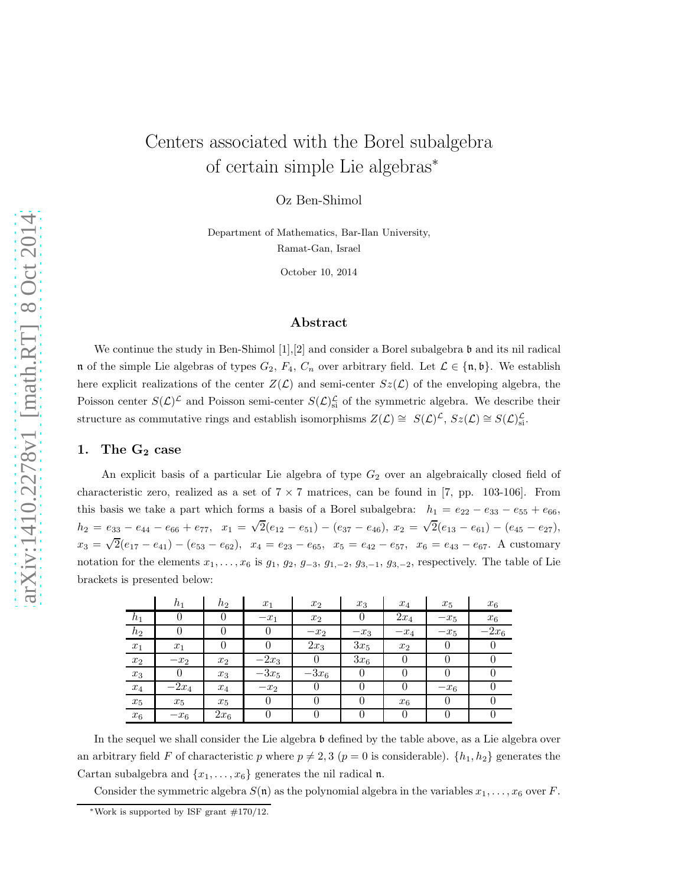# Centers associated with the Borel subalgebra of certain simple Lie algebras<sup>∗</sup>

Oz Ben-Shimol

Department of Mathematics, Bar-Ilan University, Ramat-Gan, Israel

October 10, 2014

# Abstract

We continue the study in Ben-Shimol  $[1], [2]$  and consider a Borel subalgebra  $\mathfrak b$  and its nil radical n of the simple Lie algebras of types  $G_2$ ,  $F_4$ ,  $C_n$  over arbitrary field. Let  $\mathcal{L} \in \{\mathfrak{n}, \mathfrak{b}\}\.$  We establish here explicit realizations of the center  $Z(\mathcal{L})$  and semi-center  $Sz(\mathcal{L})$  of the enveloping algebra, the Poisson center  $S(\mathcal{L})^{\mathcal{L}}$  and Poisson semi-center  $S(\mathcal{L})^{\mathcal{L}}_{s}$  of the symmetric algebra. We describe their structure as commutative rings and establish isomorphisms  $Z(\mathcal{L}) \cong S(\mathcal{L})^{\mathcal{L}}$ ,  $Sz(\mathcal{L}) \cong S(\mathcal{L})^{\mathcal{L}}_{\rm si}$ .

## 1. The  $G_2$  case

An explicit basis of a particular Lie algebra of type  $G_2$  over an algebraically closed field of characteristic zero, realized as a set of  $7 \times 7$  matrices, can be found in [7, pp. 103-106]. From this basis we take a part which forms a basis of a Borel subalgebra:  $h_1 = e_{22} - e_{33} - e_{55} + e_{66}$ ,  $h_2 = e_{33} - e_{44} - e_{66} + e_{77}$ ,  $x_1 = \sqrt{2}(e_{12} - e_{51}) - (e_{37} - e_{46})$ ,  $x_2 = \sqrt{2}(e_{13} - e_{61}) - (e_{45} - e_{27})$ ,  $x_3 = \sqrt{2}(e_{17} - e_{41}) - (e_{53} - e_{62}), x_4 = e_{23} - e_{65}, x_5 = e_{42} - e_{57}, x_6 = e_{43} - e_{67}.$  A customary notation for the elements  $x_1, \ldots, x_6$  is  $g_1, g_2, g_{-3}, g_{1,-2}, g_{3,-1}, g_{3,-2}$ , respectively. The table of Lie brackets is presented below:

|                    | $h_1$   | $h_2$  | $x_1$   | $x_2$   | $x_3$          | $x_4$  | $x_5$  | $x_6$   |
|--------------------|---------|--------|---------|---------|----------------|--------|--------|---------|
| $h_1$              |         | 0      | $-x_1$  | $x_2$   | $\overline{0}$ | $2x_4$ | $-x_5$ | $x_6$   |
| $h_2$              |         |        |         | $-x_2$  | $-x_3$         | $-x_4$ | $-x_5$ | $-2x_6$ |
| $x_1$              | $x_1$   | 0      |         | $2x_3$  | $3x_5$         | $x_2$  | 0      |         |
| $x_2$              | $-x_2$  | $x_2$  | $-2x_3$ |         | $3x_6$         |        | 0      |         |
| $\boldsymbol{x}_3$ | 0       | $x_3$  | $-3x_5$ | $-3x_6$ | $\theta$       |        | 0      |         |
| $x_4$              | $-2x_4$ | $x_4$  | $-x_2$  |         | 0              | 0      | $-x_6$ |         |
| $\boldsymbol{x}_5$ | $x_5$   | $x_5$  |         |         | 0              | $x_6$  | 0      |         |
| $x_{6}$            | $-x_6$  | $2x_6$ |         |         |                |        |        |         |

In the sequel we shall consider the Lie algebra b defined by the table above, as a Lie algebra over an arbitrary field F of characteristic p where  $p \neq 2, 3$  ( $p = 0$  is considerable).  $\{h_1, h_2\}$  generates the Cartan subalgebra and  $\{x_1, \ldots, x_6\}$  generates the nil radical n.

Consider the symmetric algebra  $S(\mathfrak{n})$  as the polynomial algebra in the variables  $x_1, \ldots, x_6$  over F.

<sup>∗</sup>Work is supported by ISF grant #170/12.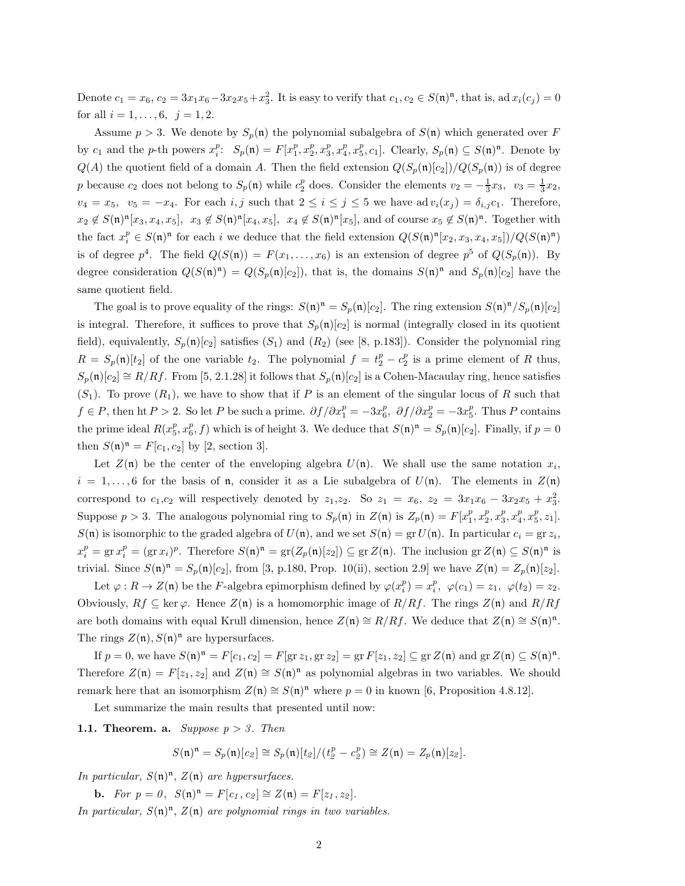Denote  $c_1 = x_6$ ,  $c_2 = 3x_1x_6 - 3x_2x_5 + x_3^2$ . It is easy to verify that  $c_1, c_2 \in S(\mathfrak{n})^{\mathfrak{n}}$ , that is, ad  $x_i(c_j) = 0$ for all  $i = 1, \ldots, 6, \; j = 1, 2.$ 

Assume  $p > 3$ . We denote by  $S_p(\mathfrak{n})$  the polynomial subalgebra of  $S(\mathfrak{n})$  which generated over F by  $c_1$  and the p-th powers  $x_i^p$ :  $S_p(\mathfrak{n}) = F[x_1^p, x_2^p, x_3^p, x_4^p, x_5^p, c_1]$ . Clearly,  $S_p(\mathfrak{n}) \subseteq S(\mathfrak{n})^{\mathfrak{n}}$ . Denote by  $Q(A)$  the quotient field of a domain A. Then the field extension  $Q(S_p(\mathfrak{n})[c_2])/Q(S_p(\mathfrak{n}))$  is of degree p because  $c_2$  does not belong to  $S_p(\mathfrak{n})$  while  $c_2^p$  does. Consider the elements  $v_2 = -\frac{1}{3}x_3$ ,  $v_3 = \frac{1}{3}x_2$ ,  $v_4 = x_5$ ,  $v_5 = -x_4$ . For each i, j such that  $2 \le i \le j \le 5$  we have ad  $v_i(x_j) = \delta_{i,j} c_1$ . Therefore,  $x_2 \notin S(\mathfrak{n})^{\mathfrak{n}}[x_3, x_4, x_5], x_3 \notin S(\mathfrak{n})^{\mathfrak{n}}[x_4, x_5], x_4 \notin S(\mathfrak{n})^{\mathfrak{n}}[x_5]$ , and of course  $x_5 \notin S(\mathfrak{n})^{\mathfrak{n}}$ . Together with the fact  $x_i^p \in S(\mathfrak{n})^{\mathfrak{n}}$  for each i we deduce that the field extension  $Q(S(\mathfrak{n})^{\mathfrak{n}}[x_2, x_3, x_4, x_5])/Q(S(\mathfrak{n})^{\mathfrak{n}})$ is of degree  $p^4$ . The field  $Q(S(\mathfrak{n})) = F(x_1, \ldots, x_6)$  is an extension of degree  $p^5$  of  $Q(S_p(\mathfrak{n}))$ . By degree consideration  $Q(S(\mathfrak{n})^{\mathfrak{n}}) = Q(S_p(\mathfrak{n})[c_2])$ , that is, the domains  $S(\mathfrak{n})^{\mathfrak{n}}$  and  $S_p(\mathfrak{n})[c_2]$  have the same quotient field.

The goal is to prove equality of the rings:  $S(\mathfrak{n})^{\mathfrak{n}} = S_p(\mathfrak{n})[c_2]$ . The ring extension  $S(\mathfrak{n})^{\mathfrak{n}}/S_p(\mathfrak{n})[c_2]$ is integral. Therefore, it suffices to prove that  $S_p(\mathfrak{n})[c_2]$  is normal (integrally closed in its quotient field), equivalently,  $S_p(\mathfrak{n})[c_2]$  satisfies  $(S_1)$  and  $(R_2)$  (see [8, p.183]). Consider the polynomial ring  $R = S_p(\mathfrak{n})[t_2]$  of the one variable  $t_2$ . The polynomial  $f = t_2^p - c_2^p$  is a prime element of R thus,  $S_p(\mathfrak{n})[c_2] \cong R/Rf$ . From [5, 2.1.28] it follows that  $S_p(\mathfrak{n})[c_2]$  is a Cohen-Macaulay ring, hence satisfies  $(S_1)$ . To prove  $(R_1)$ , we have to show that if P is an element of the singular locus of R such that  $f \in P$ , then ht  $P > 2$ . So let P be such a prime.  $\partial f / \partial x_1^p = -3x_6^p$ ,  $\partial f / \partial x_2^p = -3x_5^p$ . Thus P contains the prime ideal  $R(x_5^p, x_6^p, f)$  which is of height 3. We deduce that  $S(\mathfrak{n})^{\mathfrak{n}} = S_p(\mathfrak{n})[c_2]$ . Finally, if  $p = 0$ then  $S(\mathfrak{n})^{\mathfrak{n}} = F[c_1, c_2]$  by [2, section 3].

Let  $Z(\mathfrak{n})$  be the center of the enveloping algebra  $U(\mathfrak{n})$ . We shall use the same notation  $x_i$ ,  $i = 1, \ldots, 6$  for the basis of n, consider it as a Lie subalgebra of  $U(\mathfrak{n})$ . The elements in  $Z(\mathfrak{n})$ correspond to  $c_1, c_2$  will respectively denoted by  $z_1, z_2$ . So  $z_1 = x_6$ ,  $z_2 = 3x_1x_6 - 3x_2x_5 + x_3^2$ . Suppose  $p > 3$ . The analogous polynomial ring to  $S_p(\mathfrak{n})$  in  $Z(\mathfrak{n})$  is  $Z_p(\mathfrak{n}) = F[x_1^p, x_2^p, x_3^p, x_4^p, x_5^p, z_1]$ .  $S(\mathfrak{n})$  is isomorphic to the graded algebra of  $U(\mathfrak{n})$ , and we set  $S(\mathfrak{n}) = \text{gr } U(\mathfrak{n})$ . In particular  $c_i = \text{gr } z_i$ ,  $x_i^p = \text{gr } x_i^p = (\text{gr } x_i)^p$ . Therefore  $S(\mathfrak{n})^{\mathfrak{n}} = \text{gr}(Z_p(\mathfrak{n})[z_2]) \subseteq \text{gr } Z(\mathfrak{n})$ . The inclusion  $\text{gr } Z(\mathfrak{n}) \subseteq S(\mathfrak{n})^{\mathfrak{n}}$  is trivial. Since  $S(\mathfrak{n})^{\mathfrak{n}} = S_p(\mathfrak{n})[c_2]$ , from [3, p.180, Prop. 10(ii), section 2.9] we have  $Z(\mathfrak{n}) = Z_p(\mathfrak{n})[z_2]$ .

Let  $\varphi: R \to Z(\mathfrak{n})$  be the *F*-algebra epimorphism defined by  $\varphi(x_i^p) = x_i^p$ ,  $\varphi(c_1) = z_1$ ,  $\varphi(t_2) = z_2$ . Obviously,  $Rf \subseteq \text{ker }\varphi$ . Hence  $Z(\mathfrak{n})$  is a homomorphic image of  $R/Rf$ . The rings  $Z(\mathfrak{n})$  and  $R/Rf$ are both domains with equal Krull dimension, hence  $Z(\mathfrak{n}) \cong R/Rf$ . We deduce that  $Z(\mathfrak{n}) \cong S(\mathfrak{n})^{\mathfrak{n}}$ . The rings  $Z(\mathfrak{n}), S(\mathfrak{n})^{\mathfrak{n}}$  are hypersurfaces.

If  $p = 0$ , we have  $S(\mathfrak{n})^{\mathfrak{n}} = F[c_1, c_2] = F[\text{gr } z_1, \text{gr } z_2] = \text{gr } F[z_1, z_2] \subseteq \text{gr } Z(\mathfrak{n})$  and  $\text{gr } Z(\mathfrak{n}) \subseteq S(\mathfrak{n})^{\mathfrak{n}}$ . Therefore  $Z(\mathfrak{n}) = F[z_1, z_2]$  and  $Z(\mathfrak{n}) \cong S(\mathfrak{n})^{\mathfrak{n}}$  as polynomial algebras in two variables. We should remark here that an isomorphism  $Z(\mathfrak{n}) \cong S(\mathfrak{n})^{\mathfrak{n}}$  where  $p = 0$  in known [6, Proposition 4.8.12].

Let summarize the main results that presented until now:

**1.1. Theorem. a.** Suppose  $p > 3$ . Then

$$
S(\mathfrak{n})^{\mathfrak{n}} = S_p(\mathfrak{n})[c_{\mathfrak{D}}] \cong S_p(\mathfrak{n})[t_{\mathfrak{D}}]/(t_{\mathfrak{D}}^p - c_{\mathfrak{D}}^p) \cong Z(\mathfrak{n}) = Z_p(\mathfrak{n})[z_{\mathfrak{D}}].
$$

In particular,  $S(\mathfrak{n})^{\mathfrak{n}}, Z(\mathfrak{n})$  are hypersurfaces.

**b.** For  $p = 0$ ,  $S(\mathfrak{n})^{\mathfrak{n}} = F[c_1, c_2] \cong Z(\mathfrak{n}) = F[z_1, z_2]$ .

In particular,  $S(\mathfrak{n})^{\mathfrak{n}}, Z(\mathfrak{n})$  are polynomial rings in two variables.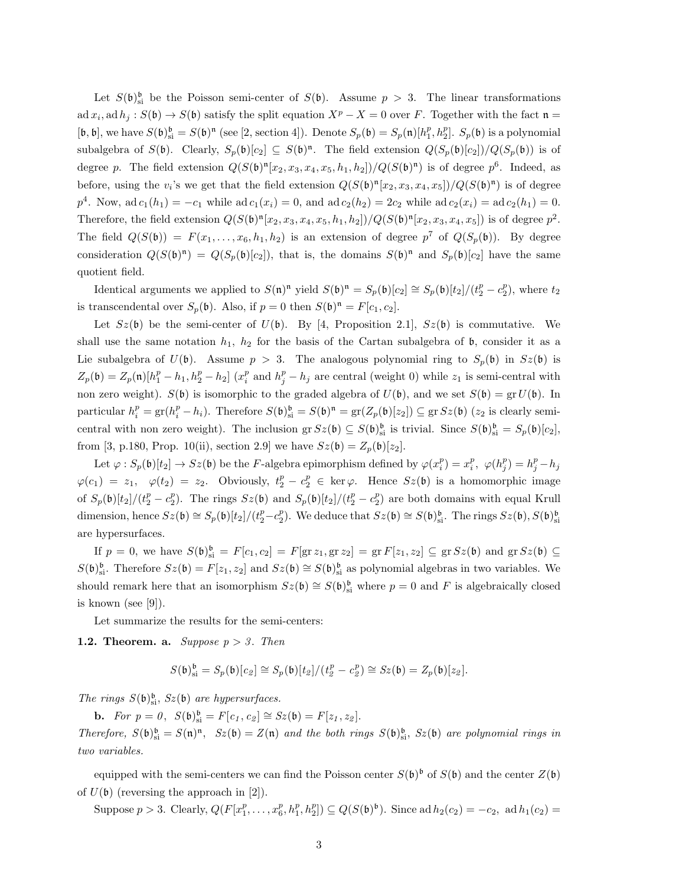Let  $S(\mathfrak{b})_{\text{si}}^{\mathfrak{b}}$  be the Poisson semi-center of  $S(\mathfrak{b})$ . Assume  $p > 3$ . The linear transformations  $\mathrm{ad}\,x_i, \mathrm{ad}\,h_j : S(\mathfrak{b}) \to S(\mathfrak{b})$  satisfy the split equation  $X^p - X = 0$  over F. Together with the fact  $\mathfrak{n} =$  $[\mathfrak{b}, \mathfrak{b}],$  we have  $S(\mathfrak{b})_{\mathfrak{s}i}^{\mathfrak{b}} = S(\mathfrak{b})^{\mathfrak{n}}$  (see [2, section 4]). Denote  $S_p(\mathfrak{b}) = S_p(\mathfrak{n})[h_1^p, h_2^p]$ .  $S_p(\mathfrak{b})$  is a polynomial subalgebra of  $S(\mathfrak{b})$ . Clearly,  $S_p(\mathfrak{b})[c_2] \subseteq S(\mathfrak{b})^{\mathfrak{n}}$ . The field extension  $Q(S_p(\mathfrak{b})[c_2])/Q(S_p(\mathfrak{b}))$  is of degree p. The field extension  $Q(S(\mathfrak{b})^n[x_2, x_3, x_4, x_5, h_1, h_2])/Q(S(\mathfrak{b})^n)$  is of degree  $p^6$ . Indeed, as before, using the  $v_i$ 's we get that the field extension  $Q(S(\mathfrak{b})^{\mathfrak{n}}[x_2, x_3, x_4, x_5])/Q(S(\mathfrak{b})^{\mathfrak{n}})$  is of degree  $p^4$ . Now, ad  $c_1(h_1) = -c_1$  while ad  $c_1(x_i) = 0$ , and ad  $c_2(h_2) = 2c_2$  while ad  $c_2(x_i) = ad c_2(h_1) = 0$ . Therefore, the field extension  $Q(S(\mathfrak{b})^{\mathfrak{n}}[x_2, x_3, x_4, x_5, h_1, h_2])/Q(S(\mathfrak{b})^{\mathfrak{n}}[x_2, x_3, x_4, x_5])$  is of degree  $p^2$ . The field  $Q(S(\mathfrak{b})) = F(x_1, \ldots, x_6, h_1, h_2)$  is an extension of degree  $p^7$  of  $Q(S_p(\mathfrak{b}))$ . By degree consideration  $Q(S(\mathfrak{b})^{\mathfrak{n}}) = Q(S_p(\mathfrak{b})[c_2])$ , that is, the domains  $S(\mathfrak{b})^{\mathfrak{n}}$  and  $S_p(\mathfrak{b})[c_2]$  have the same quotient field.

Identical arguments we applied to  $S(\mathfrak{n})^{\mathfrak{n}}$  yield  $S(\mathfrak{b})^{\mathfrak{n}} = S_p(\mathfrak{b})[c_2] \cong S_p(\mathfrak{b})[t_2]/(t_2^p - c_2^p)$ , where  $t_2$ is transcendental over  $S_p(\mathfrak{b})$ . Also, if  $p = 0$  then  $S(\mathfrak{b})^{\mathfrak{n}} = F[c_1, c_2]$ .

Let  $Sz(\mathfrak{b})$  be the semi-center of  $U(\mathfrak{b})$ . By [4, Proposition 2.1],  $Sz(\mathfrak{b})$  is commutative. We shall use the same notation  $h_1$ ,  $h_2$  for the basis of the Cartan subalgebra of  $\mathfrak b$ , consider it as a Lie subalgebra of  $U(\mathfrak{b})$ . Assume  $p > 3$ . The analogous polynomial ring to  $S_p(\mathfrak{b})$  in  $Sz(\mathfrak{b})$  is  $Z_p(\mathfrak{b}) = Z_p(\mathfrak{n})[h_1^p - h_1, h_2^p - h_2]$  ( $x_i^p$  and  $h_j^p - h_j$  are central (weight 0) while  $z_1$  is semi-central with non zero weight).  $S(\mathfrak{b})$  is isomorphic to the graded algebra of  $U(\mathfrak{b})$ , and we set  $S(\mathfrak{b}) = \text{gr } U(\mathfrak{b})$ . In particular  $h_i^p = \text{gr}(h_i^p - h_i)$ . Therefore  $S(\mathfrak{b})_{\text{si}}^{\mathfrak{b}} = S(\mathfrak{b})^{\mathfrak{n}} = \text{gr}(Z_p(\mathfrak{b})[z_2]) \subseteq \text{gr} Sz(\mathfrak{b})$  ( $z_2$  is clearly semicentral with non zero weight). The inclusion gr  $Sz(\mathfrak{b}) \subseteq S(\mathfrak{b})_{si}^{\mathfrak{b}}$  is trivial. Since  $S(\mathfrak{b})_{si}^{\mathfrak{b}} = S_p(\mathfrak{b})[c_2]$ , from [3, p.180, Prop. 10(ii), section 2.9] we have  $Sz(\mathfrak{b}) = Z_p(\mathfrak{b})[z_2]$ .

Let  $\varphi: S_p(\mathfrak{b})[t_2] \to Sz(\mathfrak{b})$  be the F-algebra epimorphism defined by  $\varphi(x_i^p) = x_i^p$ ,  $\varphi(h_j^p) = h_j^p - h_j$  $\varphi(c_1) = z_1, \quad \varphi(t_2) = z_2.$  Obviously,  $t_2^p - c_2^p \in \text{ker }\varphi$ . Hence  $Sz(\mathfrak{b})$  is a homomorphic image of  $S_p(\mathfrak{b})[t_2]/(t_2^p - c_2^p)$ . The rings  $Sz(\mathfrak{b})$  and  $S_p(\mathfrak{b})[t_2]/(t_2^p - c_2^p)$  are both domains with equal Krull dimension, hence  $Sz(\mathfrak{b}) \cong S_p(\mathfrak{b})[t_2]/(t_2^p - c_2^p)$ . We deduce that  $Sz(\mathfrak{b}) \cong S(\mathfrak{b})_{\rm si}^{\mathfrak{b}}$ . The rings  $Sz(\mathfrak{b}), S(\mathfrak{b})_{\rm si}^{\mathfrak{b}}$ are hypersurfaces.

If  $p = 0$ , we have  $S(\mathfrak{b})_{\text{si}}^{\mathfrak{b}} = F[c_1, c_2] = F[\text{gr } z_1, \text{gr } z_2] = \text{gr } F[z_1, z_2] \subseteq \text{gr } Sz(\mathfrak{b})$  and  $\text{gr } Sz(\mathfrak{b}) \subseteq$  $S(\mathfrak{b})_{\rm si}^{\mathfrak{b}}$ . Therefore  $Sz(\mathfrak{b}) = F[z_1, z_2]$  and  $Sz(\mathfrak{b}) \cong S(\mathfrak{b})_{\rm si}^{\mathfrak{b}}$  as polynomial algebras in two variables. We should remark here that an isomorphism  $Sz(\mathfrak{b}) \cong S(\mathfrak{b})_{\rm si}^{\mathfrak{b}}$  where  $p = 0$  and F is algebraically closed is known (see [9]).

Let summarize the results for the semi-centers:

**1.2. Theorem. a.** Suppose  $p > 3$ . Then

$$
S(\mathfrak{b})^{\mathfrak{b}}_{\rm si}=S_p(\mathfrak{b})[c_{\mathfrak{L}}]\cong S_p(\mathfrak{b})[t_{\mathfrak{L}}]/(t_{\mathfrak{L}}^p-c_{\mathfrak{L}}^p)\cong Sz(\mathfrak{b})=Z_p(\mathfrak{b})[z_{\mathfrak{L}}].
$$

The rings  $S(\mathfrak{b})_{\text{si}}^{\mathfrak{b}}, Sz(\mathfrak{b})$  are hypersurfaces.

**b.** For  $p = 0$ ,  $S(\mathfrak{b})_{\text{si}}^{\mathfrak{b}} = F[c_1, c_2] \cong Sz(\mathfrak{b}) = F[z_1, z_2]$ . Therefore,  $S(\mathfrak{b})_{\text{si}}^{\mathfrak{b}} = S(\mathfrak{n})^{\mathfrak{n}}$ ,  $Sz(\mathfrak{b}) = Z(\mathfrak{n})$  and the both rings  $S(\mathfrak{b})_{\text{si}}^{\mathfrak{b}}$ ,  $Sz(\mathfrak{b})$  are polynomial rings in two variables.

equipped with the semi-centers we can find the Poisson center  $S(\mathfrak{b})^{\mathfrak{b}}$  of  $S(\mathfrak{b})$  and the center  $Z(\mathfrak{b})$ of  $U(\mathfrak{b})$  (reversing the approach in [2]).

Suppose  $p > 3$ . Clearly,  $Q(F[x_1^p, ..., x_6^p, h_1^p, h_2^p]) \subseteq Q(S(\mathfrak{b})^{\mathfrak{b}})$ . Since ad  $h_2(c_2) = -c_2$ , ad  $h_1(c_2) =$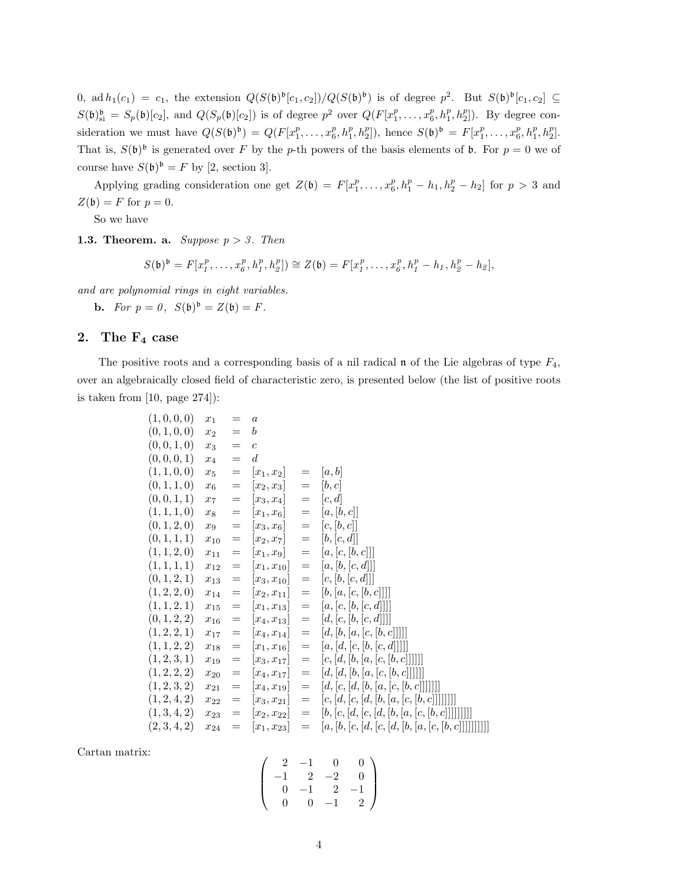0, ad  $h_1(c_1) = c_1$ , the extension  $Q(S(\mathfrak{b})^{\mathfrak{b}}[c_1,c_2])/Q(S(\mathfrak{b})^{\mathfrak{b}})$  is of degree  $p^2$ . But  $S(\mathfrak{b})^{\mathfrak{b}}[c_1,c_2] \subseteq$  $S(\mathfrak{b})_{\text{si}}^{\mathfrak{b}} = S_p(\mathfrak{b})[c_2]$ , and  $Q(S_p(\mathfrak{b})[c_2])$  is of degree  $p^2$  over  $Q(F[x_1^p,\ldots,x_6^p,h_1^p,h_2^p])$ . By degree consideration we must have  $Q(S(\mathfrak{b})^{\mathfrak{b}}) = Q(F[x_1^p, \ldots, x_6^p, h_1^p, h_2^p])$ , hence  $S(\mathfrak{b})^{\mathfrak{b}} = F[x_1^p, \ldots, x_6^p, h_1^p, h_2^p]$ . That is,  $S(\mathfrak{b})^{\mathfrak{b}}$  is generated over F by the p-th powers of the basis elements of **b**. For  $p = 0$  we of course have  $S(\mathfrak{b})^{\mathfrak{b}} = F$  by [2, section 3].

Applying grading consideration one get  $Z(\mathfrak{b}) = F[x_1^p, \ldots, x_6^p, h_1^p - h_1, h_2^p - h_2]$  for  $p > 3$  and  $Z(\mathfrak{b}) = F$  for  $p = 0$ .

So we have

**1.3. Theorem. a.** Suppose  $p > 3$ . Then

$$
S(\mathfrak{b})^{\mathfrak{b}} = F[x_1^p, \dots, x_{6}^p, h_1^p, h_2^p] \cong Z(\mathfrak{b}) = F[x_1^p, \dots, x_{6}^p, h_1^p - h_1, h_2^p - h_2],
$$

and are polynomial rings in eight variables.

**b.** For  $p = 0$ ,  $S(\mathfrak{b})^{\mathfrak{b}} = Z(\mathfrak{b}) = F$ .

# 2. The  $F_4$  case

The positive roots and a corresponding basis of a nil radical  $\mathfrak n$  of the Lie algebras of type  $F_4$ , over an algebraically closed field of characteristic zero, is presented below (the list of positive roots is taken from  $[10, \text{ page } 274]$ :

| (1,0,0,0)    | $x_1$    | $=$               | $\alpha$         |                                     |                                                     |
|--------------|----------|-------------------|------------------|-------------------------------------|-----------------------------------------------------|
| (0, 1, 0, 0) | $x_2$    | $=$               | $\boldsymbol{b}$ |                                     |                                                     |
| (0, 0, 1, 0) | $x_3$    | $=$               | $\mathfrak{c}$   |                                     |                                                     |
| (0, 0, 0, 1) | $x_4$    | $=$               | $\overline{d}$   |                                     |                                                     |
| (1, 1, 0, 0) | $x_5$    | $=$               | $ x_1, x_2 $     | $=$                                 | [a, b]                                              |
| (0, 1, 1, 0) | $x_6$    | $=$               | $ x_2, x_3 $     | $=$                                 | [b, c]                                              |
| (0, 0, 1, 1) | $x_7$    | $=$               | $[x_3, x_4]$     | $=$                                 | [c, d]                                              |
| (1, 1, 1, 0) | $x_8$    | $=$               | $[x_1, x_6]$     | $=$                                 | [a,[b,c]]                                           |
| (0, 1, 2, 0) | $x_9$    | $=$               | $[x_3, x_6]$     | $=$                                 | [c, [b, c]]                                         |
| (0, 1, 1, 1) | $x_{10}$ | $=$               | $[x_2, x_7]$     | $=$                                 | [b, [c, d]]                                         |
| (1, 1, 2, 0) | $x_{11}$ | $=$               | $[x_1,x_9]$      | $=$                                 | [a, [c, [b, c]]]                                    |
| (1, 1, 1, 1) | $x_{12}$ | $=$               | $ x_1, x_{10} $  | $=$                                 | [a, [b, [c, d]]]                                    |
| (0, 1, 2, 1) | $x_{13}$ | $=$               | $ x_3, x_{10} $  | $=$                                 | [c, [b, [c, d]]]                                    |
| (1, 2, 2, 0) | $x_{14}$ | $\!\!\!=\!\!\!\!$ | $ x_2, x_{11} $  | $=$                                 | [b, [a, [c, [b, c]]]]]                              |
| (1, 1, 2, 1) | $x_{15}$ | $=$               | $[x_1, x_{13}]$  | $=$                                 | [a, [c, [b, [c, d]]]]                               |
| (0, 1, 2, 2) | $x_{16}$ | $=$               | $ x_4, x_{13} $  | $=$                                 | [d, [c, [b, [c, d]]]]                               |
| (1, 2, 2, 1) | $x_{17}$ | $=$               | $[x_4, x_{14}]$  | $=$                                 | [d, [b, [a, [c, [b, c]]]]]                          |
| (1, 1, 2, 2) | $x_{18}$ | $=$               | $ x_1, x_{16} $  | $=$                                 | [a, [d, [c, [b, [c, d]]]]]                          |
| (1, 2, 3, 1) | $x_{19}$ | $=$               | $ x_3, x_{17} $  | $=$                                 | [c, [d, [b, [a, [c, [b, c]]]]]]]                    |
| (1, 2, 2, 2) | $x_{20}$ | $=$               | $ x_4, x_{17} $  | $=$                                 | [d, [d, [b, [a, [c, [b, c]]]]]]                     |
| (1, 2, 3, 2) | $x_{21}$ | $=$               | $ x_4, x_{19} $  | $=$                                 | [d, [c, [d, [b, [a, [c, [b, c]]]]]]]                |
| (1, 2, 4, 2) | $x_{22}$ | $=$               | $ x_3, x_{21} $  | $=$                                 | $[c, [d, [c, [d, [b, [a, [c, [b, c]]]]]]]]$         |
| (1,3,4,2)    | $x_{23}$ | $\!\!\!=\!\!\!\!$ | $ x_2, x_{22} $  | $\hspace*{0.4em} = \hspace*{0.4em}$ | $[b, [c, [d, [c, [d, [b, [a, [c, [b, c]]]]]]]]$     |
| (2,3,4,2)    | $x_{24}$ | $=$               | $[x_1, x_{23}]$  | $\!\!\!=\!\!\!$                     | $[a, [b, [c, [d, [c, [d, [b, [a, [c, [b, c]]]]]]]]$ |

Cartan matrix:

$$
\left(\begin{array}{cccc}2&-1&0&0\\-1&2&-2&0\\0&-1&2&-1\\0&0&-1&2\end{array}\right)
$$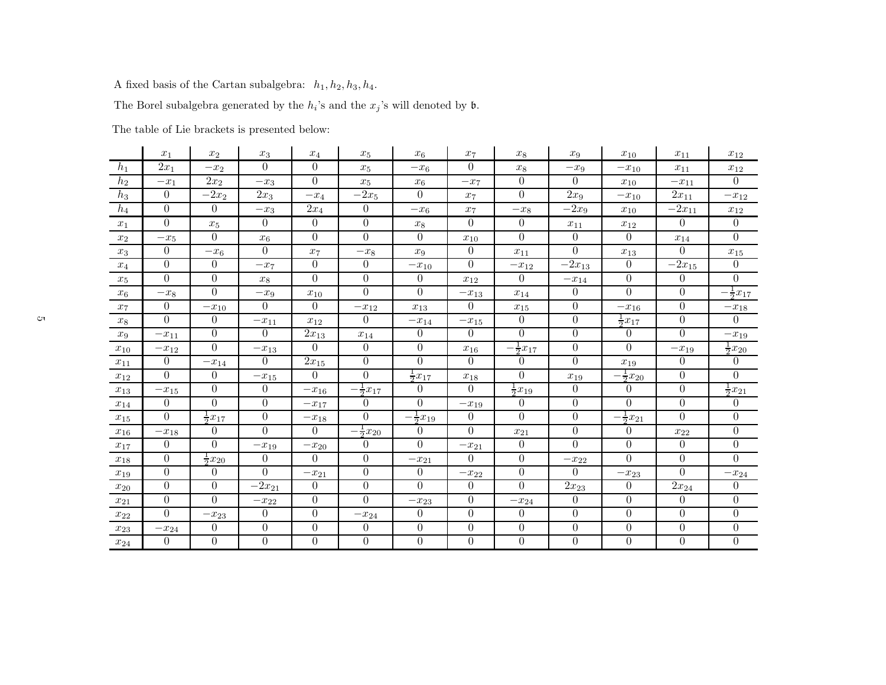A fixed basis of the Cartan subalgebra:  $\,h_1, h_2, h_3, h_4.$ 

The Borel subalgebra generated by the  $h_i$ 's and the  $x_j$ 's will denoted by  $\mathfrak b$ .

The table of Lie brackets is presented below:

|          | $x_1$          | $x_2$               | $x_3$                  | $x_4$            | $x_5$                | $x_6$                  | $x_7$            | $x_8$                | $x_9$            | $x_{10}$            | $x_{11}$         | $x_{12}$             |
|----------|----------------|---------------------|------------------------|------------------|----------------------|------------------------|------------------|----------------------|------------------|---------------------|------------------|----------------------|
| $h_1$    | $2x_1$         | $-x_2$              | $\Omega$               | $\theta$         | $x_5$                | $-x_6$                 | $\theta$         | $x_8$                | $-x_9$           | $-x_{10}$           | $x_{11}$         | $x_{12}$             |
| $h_2$    | $-x_1$         | $2x_2$              | $-x_3$                 | $\Omega$         | $x_5$                | $x_{\rm 6}$            | $-x_7$           | $\Omega$             | $\Omega$         | $x_{10}$            | $-x_{11}$        | $\Omega$             |
| $h_3$    | $\Omega$       | $-2x_2$             | $2x_3$                 | $-x_4$           | $-2x_5$              | $\Omega$               | $x_7$            | $\Omega$             | 2x <sub>9</sub>  | $-x_{10}$           | $2x_{11}$        | $-x_{12}$            |
| $h_4$    | $\overline{0}$ | $\overline{0}$      | $-x_3$                 | $2x_4$           | $\overline{0}$       | $-x_6$                 | $x_7$            | $-x_8$               | $-2x_9$          | $x_{10}$            | $-2x_{11}$       | $x_{12}$             |
| $x_1$    | $\overline{0}$ | $x_5$               | $\overline{0}$         | $\overline{0}$   | $\overline{0}$       | $x_8$                  | $\theta$         | $\overline{0}$       | $x_{11}$         | $x_{12}$            | $\Omega$         | $\overline{0}$       |
| $x_2$    | $-x_5$         | $\overline{0}$      | $x_6$                  | $\overline{0}$   | $\overline{0}$       | $\overline{0}$         | $x_{10}$         | $\theta$             | $\theta$         | $\overline{0}$      | $x_{14}$         | $\overline{0}$       |
| $x_3$    | $\overline{0}$ | $-x_6$              | $\Omega$               | $x_7$            | $-x_8$               | $x_9$                  | $\theta$         | $x_{11}$             | $\Omega$         | $x_{13}$            | $\theta$         | $x_{15}$             |
| $x_4$    | $\overline{0}$ | $\boldsymbol{0}$    | $-x_7$                 | $\theta$         | $\overline{0}$       | $-x_{10}$              | $\theta$         | $-x_{12}$            | $-2x_{13}$       | $\overline{0}$      | $-2x_{15}$       | $\overline{0}$       |
| $x_5$    | $\Omega$       | $\Omega$            | $x_8$                  | $\Omega$         | $\theta$             | $\overline{0}$         | $x_{12}$         | $\Omega$             | $\!-x_{14}$      | $\overline{0}$      | $\overline{0}$   | $\Omega$             |
| $x_6$    | $-x_8$         | $\Omega$            | $-x_9$                 | $x_{10}$         | $\theta$             | $\Omega$               | $-x_{13}$        | $x_{14}$             | $\Omega$         | $\Omega$            | $\overline{0}$   | $-\frac{1}{2}x_{17}$ |
| $x_7$    | $\overline{0}$ | $-x_{10}$           | $\overline{0}$         | $\overline{0}$   | $-x_{12}$            | $x_{13}$               | $\theta$         | $x_{15}$             | $\theta$         | $-x_{16}$           | $\boldsymbol{0}$ | $-x_{18}$            |
| $x_8$    | $\Omega$       | $\overline{0}$      | $-x_{11}$              | $x_{12}$         | $\theta$             | $-x_{14}$              | $-x_{15}$        | $\Omega$             | $\theta$         | $\frac{1}{2}x_{17}$ | $\overline{0}$   | $\theta$             |
| $x_9$    | $-x_{11}$      | $\Omega$            | $\Omega$               | $2x_{13}$        | $x_{14}$             | $\theta$               | $\Omega$         | $\Omega$             | $\theta$         | $\overline{0}$      | $\Omega$         | $-x_{19}$            |
| $x_{10}$ | $-x_{12}$      | $\overline{0}$      | $-x_{13}$              | $\Omega$         | $\theta$             | $\overline{0}$         | $x_{16}$         | $-\frac{1}{2}x_{17}$ | $\theta$         | $\overline{0}$      | $-x_{19}$        | $rac{1}{2}x_{20}$    |
| $x_{11}$ | $\overline{0}$ | $-x_{14}$           | $\theta$               | $2x_{15}$        | $\overline{0}$       | $\overline{0}$         | $\Omega$         | $\theta$             | $\theta$         | $x_{19}$            | $\boldsymbol{0}$ | $\overline{0}$       |
| $x_{12}$ | $\theta$       | $\overline{0}$      | $-x_{15}$              | $\Omega$         | $\overline{0}$       | $\frac{1}{2}x_{17}$    | $x_{18}$         | $\Omega$             | $x_{19}$         | $\frac{1}{2}x_{20}$ | $\boldsymbol{0}$ | $\overline{0}$       |
| $x_{13}$ | $-x_{15}$      | $\overline{0}$      | $\overline{0}$         | $-x_{16}$        | $-\frac{1}{2}x_{17}$ | $\Omega$               | $\theta$         | $\frac{1}{2}x_{19}$  | $\theta$         | $\overline{0}$      | $\boldsymbol{0}$ | $\frac{1}{2}x_{21}$  |
| $x_{14}$ | $\theta$       | $\overline{0}$      | $\theta$               | $-x_{17}$        | $\overline{0}$       | $\theta$               | $-x_{19}$        | $\left( \right)$     | $\theta$         | $\overline{0}$      | $\overline{0}$   | $\theta$             |
| $x_{15}$ | $\theta$       | $rac{1}{2}x_{17}$   | $\boldsymbol{0}$       | $-x_{18}$        | $\theta$             | $\frac{1}{2}x_{19}$    | $\theta$         | $\Omega$             | $\overline{0}$   | $\frac{1}{2}x_{21}$ | $\Omega$         | $\overline{0}$       |
| $x_{16}$ | $-x_{18}$      | $\Omega$            | $\Omega$               | $\Omega$         | $-\frac{1}{2}x_{20}$ | $\theta$               | $\Omega$         | $x_{21}$             | $\theta$         | $\overline{0}$      | $x_{22}$         | $\overline{0}$       |
| $x_{17}$ | $\Omega$       | $\Omega$            | $-\boldsymbol{x}_{19}$ | $-x_{20}$        | $\theta$             | $\Omega$               | $-x_{21}$        | $\Omega$             | $\Omega$         | $\Omega$            | $\Omega$         | $\theta$             |
| $x_{18}$ | $\overline{0}$ | $\frac{1}{2}x_{20}$ | $\theta$               | $\Omega$         | $\overline{0}$       | $-\boldsymbol{x}_{21}$ | $\Omega$         | $\theta$             | $-x_{22}$        | $\overline{0}$      | $\overline{0}$   | $\Omega$             |
| $x_{19}$ | $\overline{0}$ | $\overline{0}$      | $\Omega$               | $-x_{21}$        | $\overline{0}$       | $\theta$               | $-x_{22}$        | $\theta$             | $\Omega$         | $-x_{23}$           | $\Omega$         | $-x_{24}$            |
| $x_{20}$ | $\theta$       | $\overline{0}$      | $-2x_{21}$             | $\theta$         | $\theta$             | $\Omega$               | $\theta$         | $\Omega$             | $2x_{23}$        | $\boldsymbol{0}$    | $2x_{24}$        | $\overline{0}$       |
| $x_{21}$ | $\Omega$       | $\Omega$            | $-\boldsymbol{x}_{22}$ | $\theta$         | $\theta$             | $-\boldsymbol{x}_{23}$ | $\Omega$         | $-x_{24}$            | $\theta$         | $\boldsymbol{0}$    | $\overline{0}$   | $\overline{0}$       |
| $x_{22}$ | $\Omega$       | $-x_{23}$           | $\boldsymbol{0}$       | $\boldsymbol{0}$ | $-x_{24}$            | $\overline{0}$         | $\boldsymbol{0}$ | $\boldsymbol{0}$     | $\boldsymbol{0}$ | $\boldsymbol{0}$    | $\boldsymbol{0}$ | $\overline{0}$       |
| $x_{23}$ | $-x_{24}$      | $\boldsymbol{0}$    | $\boldsymbol{0}$       | $\boldsymbol{0}$ | $\overline{0}$       | $\boldsymbol{0}$       | $\boldsymbol{0}$ | $\boldsymbol{0}$     | $\boldsymbol{0}$ | $\boldsymbol{0}$    | $\boldsymbol{0}$ | $\boldsymbol{0}$     |
| $x_{24}$ | $\Omega$       | $\boldsymbol{0}$    | $\overline{0}$         | $\overline{0}$   | $\overline{0}$       | $\overline{0}$         | $\theta$         | $\theta$             | $\theta$         | $\overline{0}$      | $\boldsymbol{0}$ | $\boldsymbol{0}$     |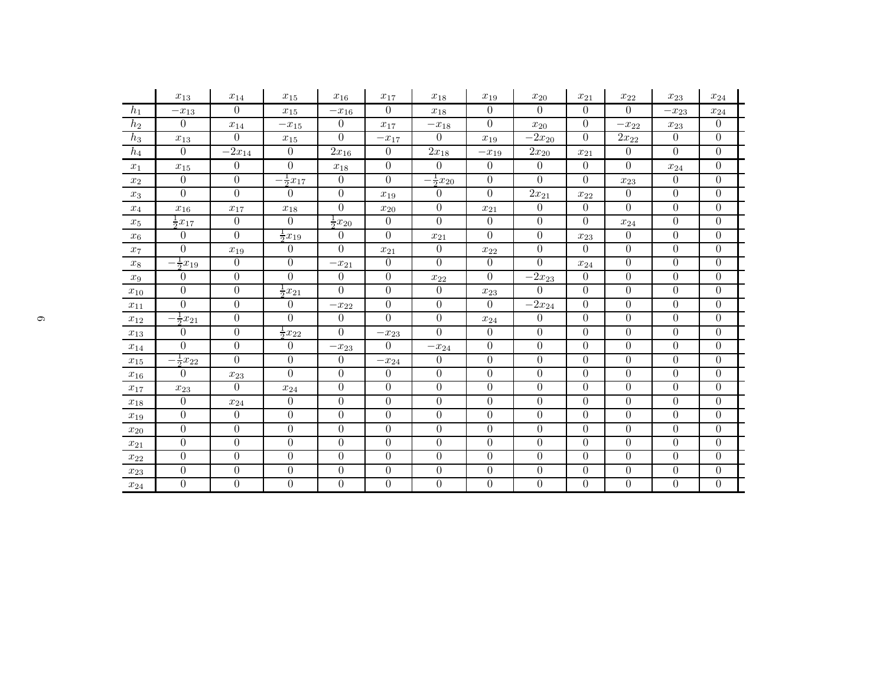|                    | $x_{13}$            | $x_{14}$         | $x_{15}$             | $x_{16}$            | $x_{17}$               | $x_{18}$             | $x_{19}$         | $x_{20}$         | $x_{21}$         | $x_{22}$       | $x_{23}$         | $x_{24}$         |  |
|--------------------|---------------------|------------------|----------------------|---------------------|------------------------|----------------------|------------------|------------------|------------------|----------------|------------------|------------------|--|
| $h_1$              | $-x_{13}$           | $\overline{0}$   | $x_{15}$             | $-x_{16}$           | $\overline{0}$         | $x_{18}$             | $\theta$         | $\overline{0}$   | $\theta$         | $\theta$       | $-x_{23}$        | $x_{24}$         |  |
| $h_2$              | $\theta$            | $x_{14}$         | $-x_{15}$            | $\theta$            | $x_{17}$               | $-x_{18}$            | $\overline{0}$   | $x_{20}$         | $\theta$         | $-x_{22}$      | $x_{23}$         | $\theta$         |  |
| $h_3$              | $x_{13}$            | $\Omega$         | $x_{15}$             | $\theta$            | $-x_{17}$              | 0                    | $x_{19}$         | $-2x_{20}$       | $\theta$         | $2x_{22}$      | $\overline{0}$   | $\theta$         |  |
| $h_4$              | $\theta$            | $-2x_{14}$       | $\theta$             | $2x_{16}$           | $\boldsymbol{0}$       | $2x_{18}$            | $-x_{19}$        | $2x_{20}$        | $x_{21}$         | $\theta$       | $\Omega$         | $\overline{0}$   |  |
| $x_1$              | $x_{15}$            | $\overline{0}$   | $\theta$             | $x_{18}$            | $\boldsymbol{0}$       | $\overline{0}$       | $\overline{0}$   | $\overline{0}$   | $\theta$         | $\overline{0}$ | $x_{24}$         | $\theta$         |  |
| $x_2$              | $\overline{0}$      | $\boldsymbol{0}$ | $-\frac{1}{2}x_{17}$ | $\overline{0}$      | $\overline{0}$         | $-\frac{1}{2}x_{20}$ | $\boldsymbol{0}$ | $\overline{0}$   | $\overline{0}$   | $x_{23}$       | $\overline{0}$   | $\overline{0}$   |  |
| $\boldsymbol{x_3}$ | $\Omega$            | $\overline{0}$   | $\left( \right)$     | $\theta$            | $x_{19}$               | 0                    | 0                | $2x_{21}$        | $x_{22}$         | $\theta$       | $\overline{0}$   | $\theta$         |  |
| $x_4$              | $x_{16}$            | $x_{17}$         | $x_{18}$             | $\boldsymbol{0}$    | $x_{20}$               | $\boldsymbol{0}$     | $x_{21}$         | $\boldsymbol{0}$ | $\overline{0}$   | $\theta$       | $\boldsymbol{0}$ | $\boldsymbol{0}$ |  |
| $x_5$              | $\frac{1}{2}x_{17}$ | $\overline{0}$   | $\Omega$             | $\frac{1}{2}x_{20}$ | $\overline{0}$         | $\overline{0}$       | $\overline{0}$   | $\overline{0}$   | $\theta$         | $x_{24}$       | $\Omega$         | $\theta$         |  |
| $x_6$              | $\Omega$            | $\Omega$         | $\frac{1}{2}x_{19}$  | $\Omega$            | $\Omega$               | $x_{21}$             | $\overline{0}$   | $\boldsymbol{0}$ | $x_{23}$         | $\Omega$       | $\theta$         | $\overline{0}$   |  |
| $x_7$              | $\overline{0}$      | $x_{19}$         | $\theta$             | $\theta$            | $x_{21}$               | $\boldsymbol{0}$     | $x_{22}$         | $\overline{0}$   | $\Omega$         | $\theta$       | $\overline{0}$   | $\overline{0}$   |  |
| $x_8$              | $\frac{1}{2}x_{19}$ | $\theta$         | $\overline{0}$       | $-x_{21}$           | $\overline{0}$         | $\overline{0}$       | $\overline{0}$   | $\overline{0}$   | $x_{24}$         | $\theta$       | $\theta$         | $\theta$         |  |
| $x_9$              | $\overline{0}$      | $\boldsymbol{0}$ | $\overline{0}$       | $\boldsymbol{0}$    | $\boldsymbol{0}$       | $x_{22}$             | $\overline{0}$   | $-2x_{23}$       | $\theta$         | $\overline{0}$ | $\overline{0}$   | $\overline{0}$   |  |
| $x_{10}$           | $\Omega$            | $\boldsymbol{0}$ | $\frac{1}{2}x_{21}$  | $\theta$            | $\boldsymbol{0}$       | 0                    | $x_{23}$         | $\Omega$         | $\theta$         | $\theta$       | $\boldsymbol{0}$ | $\theta$         |  |
| $x_{11}$           | $\Omega$            | $\boldsymbol{0}$ | $\boldsymbol{0}$     | $-x_{22}$           | $\boldsymbol{0}$       | $\overline{0}$       | $\boldsymbol{0}$ | $-2x_{24}$       | $\overline{0}$   | $\theta$       | $\boldsymbol{0}$ | $\boldsymbol{0}$ |  |
| $x_{12}$           | $\frac{1}{2}x_{21}$ | $\boldsymbol{0}$ | $\theta$             | $\theta$            | $\overline{0}$         | $\boldsymbol{0}$     | $x_{24}$         | $\overline{0}$   | $\theta$         | $\Omega$       | $\overline{0}$   | $\theta$         |  |
| $x_{13}$           | $\Omega$            | $\overline{0}$   | $\frac{1}{2}x_{22}$  | $\theta$            | $-\boldsymbol{x}_{23}$ | $\overline{0}$       | $\overline{0}$   | $\boldsymbol{0}$ | $\theta$         | $\theta$       | $\overline{0}$   | $\theta$         |  |
| $x_{14}$           | $\Omega$            | $\overline{0}$   | $\theta$             | $-x_{23}$           | 0                      | $-x_{24}$            | $\overline{0}$   | $\overline{0}$   | $\overline{0}$   | $\theta$       | $\overline{0}$   | $\overline{0}$   |  |
| $x_{15}$           | $rac{1}{2}x_{22}$   | $\Omega$         | $\theta$             | $\theta$            | $-x_{24}$              | 0                    | $\boldsymbol{0}$ | $\boldsymbol{0}$ | $\theta$         | $\Omega$       | $\overline{0}$   | $\overline{0}$   |  |
| $x_{16}$           | $\Omega$            | $x_{23}$         | $\Omega$             | $\overline{0}$      | $\overline{0}$         | $\overline{0}$       | $\boldsymbol{0}$ | $\boldsymbol{0}$ | $\overline{0}$   | $\theta$       | $\theta$         | $\overline{0}$   |  |
| $x_{17}$           | $x_{23}$            | $\Omega$         | $x_{24}$             | $\boldsymbol{0}$    | $\overline{0}$         | $\boldsymbol{0}$     | $\boldsymbol{0}$ | $\boldsymbol{0}$ | $\theta$         | $\theta$       | $\theta$         | $\theta$         |  |
| $x_{18}$           | $\overline{0}$      | $x_{24}$         | $\boldsymbol{0}$     | $\boldsymbol{0}$    | $\overline{0}$         | $\boldsymbol{0}$     | $\boldsymbol{0}$ | $\boldsymbol{0}$ | $\overline{0}$   | $\theta$       | $\overline{0}$   | $\overline{0}$   |  |
| $x_{19}$           | $\Omega$            | $\boldsymbol{0}$ | $\boldsymbol{0}$     | $\boldsymbol{0}$    | $\boldsymbol{0}$       | $\boldsymbol{0}$     | $\boldsymbol{0}$ | $\boldsymbol{0}$ | $\overline{0}$   | $\Omega$       | $\overline{0}$   | $\theta$         |  |
| $x_{20}$           | $\Omega$            | $\boldsymbol{0}$ | $\boldsymbol{0}$     | $\boldsymbol{0}$    | $\overline{0}$         | $\boldsymbol{0}$     | $\boldsymbol{0}$ | $\boldsymbol{0}$ | $\overline{0}$   | $\theta$       | $\theta$         | $\overline{0}$   |  |
| $x_{21}$           | $\overline{0}$      | $\overline{0}$   | $\overline{0}$       | $\theta$            | $\theta$               | $\boldsymbol{0}$     | 0                | $\overline{0}$   | $\theta$         | $\Omega$       | $\overline{0}$   | $\theta$         |  |
| $x_{22}$           | $\overline{0}$      | $\overline{0}$   | $\overline{0}$       | $\boldsymbol{0}$    | $\overline{0}$         | $\boldsymbol{0}$     | $\boldsymbol{0}$ | $\boldsymbol{0}$ | $\theta$         | $\theta$       | $\overline{0}$   | $\theta$         |  |
| $x_{23}$           | $\overline{0}$      | $\overline{0}$   | $\boldsymbol{0}$     | $\theta$            | $\boldsymbol{0}$       | $\boldsymbol{0}$     | $\boldsymbol{0}$ | $\boldsymbol{0}$ | $\overline{0}$   | $\theta$       | $\overline{0}$   | $\theta$         |  |
| $x_{24}$           | $\overline{0}$      | $\boldsymbol{0}$ | $\boldsymbol{0}$     | $\boldsymbol{0}$    | $\boldsymbol{0}$       | $\overline{0}$       | $\boldsymbol{0}$ | $\boldsymbol{0}$ | $\boldsymbol{0}$ | $\theta$       | $\boldsymbol{0}$ | $\boldsymbol{0}$ |  |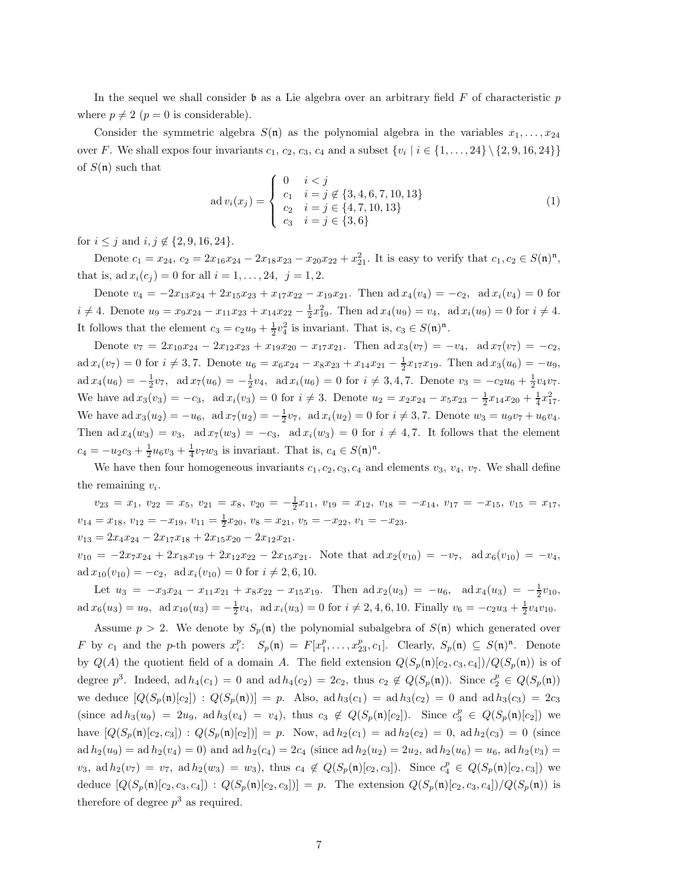In the sequel we shall consider  $\mathfrak b$  as a Lie algebra over an arbitrary field  $F$  of characteristic  $p$ where  $p \neq 2$  ( $p = 0$  is considerable).

Consider the symmetric algebra  $S(n)$  as the polynomial algebra in the variables  $x_1, \ldots, x_{24}$ over F. We shall expos four invariants  $c_1, c_2, c_3, c_4$  and a subset  $\{v_i \mid i \in \{1, ..., 24\} \setminus \{2, 9, 16, 24\}\}\$ of  $S(n)$  such that

$$
ad v_i(x_j) = \begin{cases} 0 & i < j \\ c_1 & i = j \notin \{3, 4, 6, 7, 10, 13\} \\ c_2 & i = j \in \{4, 7, 10, 13\} \\ c_3 & i = j \in \{3, 6\} \end{cases}
$$
(1)

for  $i \leq j$  and  $i, j \notin \{2, 9, 16, 24\}.$ 

Denote  $c_1 = x_{24}$ ,  $c_2 = 2x_{16}x_{24} - 2x_{18}x_{23} - x_{20}x_{22} + x_{21}^2$ . It is easy to verify that  $c_1, c_2 \in S(\mathfrak{n})^{\mathfrak{n}}$ , that is,  $ad x_i(c_j) = 0$  for all  $i = 1, ..., 24, j = 1, 2$ .

Denote  $v_4 = -2x_{13}x_{24} + 2x_{15}x_{23} + x_{17}x_{22} - x_{19}x_{21}$ . Then ad  $x_4(v_4) = -c_2$ , ad  $x_i(v_4) = 0$  for  $i \neq 4$ . Denote  $u_9 = x_9x_{24} - x_{11}x_{23} + x_{14}x_{22} - \frac{1}{2}x_{19}^2$ . Then  $ad x_4(u_9) = v_4$ ,  $ad x_i(u_9) = 0$  for  $i \neq 4$ . It follows that the element  $c_3 = c_2 u_9 + \frac{1}{2} v_4^2$  is invariant. That is,  $c_3 \in S(\mathfrak{n})^{\mathfrak{n}}$ .

Denote  $v_7 = 2x_{10}x_{24} - 2x_{12}x_{23} + x_{19}x_{20} - x_{17}x_{21}$ . Then  $ad\,x_3(v_7) = -v_4$ ,  $ad\,x_7(v_7) = -c_2$ ,  $ad x_i(v_7) = 0$  for  $i \neq 3, 7$ . Denote  $u_6 = x_6x_{24} - x_8x_{23} + x_{14}x_{21} - \frac{1}{2}x_{17}x_{19}$ . Then  $ad x_3(u_6) = -u_9$ ,  $\text{ad}\,x_4(u_6) = -\frac{1}{2}v_7$ ,  $\text{ad}\,x_7(u_6) = -\frac{1}{2}v_4$ ,  $\text{ad}\,x_i(u_6) = 0$  for  $i \neq 3, 4, 7$ . Denote  $v_3 = -c_2u_6 + \frac{1}{2}v_4v_7$ . We have  $ad x_3(v_3) = -c_3$ ,  $ad x_i(v_3) = 0$  for  $i \neq 3$ . Denote  $u_2 = x_2x_{24} - x_5x_{23} - \frac{1}{2}x_{14}x_{20} + \frac{1}{4}x_{17}^2$ . We have  $ad x_3(u_2) = -u_6$ ,  $ad x_7(u_2) = -\frac{1}{2}v_7$ ,  $ad x_i(u_2) = 0$  for  $i \neq 3, 7$ . Denote  $w_3 = u_9v_7 + u_6v_4$ . Then ad  $x_4(w_3) = v_3$ , ad  $x_7(w_3) = -c_3$ , ad  $x_i(w_3) = 0$  for  $i \neq 4, 7$ . It follows that the element  $c_4 = -u_2c_3 + \frac{1}{2}u_6v_3 + \frac{1}{4}v_7w_3$  is invariant. That is,  $c_4 \in S(\mathfrak{n})^{\mathfrak{n}}$ .

We have then four homogeneous invariants  $c_1, c_2, c_3, c_4$  and elements  $v_3, v_4, v_7$ . We shall define the remaining  $v_i$ .

 $v_{23} = x_1, v_{22} = x_5, v_{21} = x_8, v_{20} = -\frac{1}{2}x_{11}, v_{19} = x_{12}, v_{18} = -x_{14}, v_{17} = -x_{15}, v_{15} = x_{17}$  $v_{14} = x_{18}, v_{12} = -x_{19}, v_{11} = \frac{1}{2}x_{20}, v_8 = x_{21}, v_5 = -x_{22}, v_1 = -x_{23}.$  $v_{13} = 2x_4x_{24} - 2x_{17}x_{18} + 2x_{15}x_{20} - 2x_{12}x_{21}.$ 

 $v_{10} = -2x_7x_{24} + 2x_{18}x_{19} + 2x_{12}x_{22} - 2x_{15}x_{21}$ . Note that  $ad x_2(v_{10}) = -v_7$ ,  $ad x_6(v_{10}) = -v_4$ ,  $ad x_{10}(v_{10}) = -c_2$ ,  $ad x_i(v_{10}) = 0$  for  $i \neq 2, 6, 10$ .

Let  $u_3 = -x_3x_{24} - x_{11}x_{21} + x_8x_{22} - x_{15}x_{19}$ . Then  $\text{ad } x_2(u_3) = -u_6$ ,  $\text{ad } x_4(u_3) = -\frac{1}{2}v_{10}$ ,  $ad x_6(u_3) = u_9$ ,  $ad x_{10}(u_3) = -\frac{1}{2}v_4$ ,  $ad x_i(u_3) = 0$  for  $i \neq 2, 4, 6, 10$ . Finally  $v_6 = -c_2u_3 + \frac{1}{2}v_4v_{10}$ .

Assume  $p > 2$ . We denote by  $S_p(n)$  the polynomial subalgebra of  $S(n)$  which generated over F by  $c_1$  and the p-th powers  $x_i^p$ :  $S_p(\mathfrak{n}) = F[x_1^p, \ldots, x_{23}^p, c_1]$ . Clearly,  $S_p(\mathfrak{n}) \subseteq S(\mathfrak{n})^{\mathfrak{n}}$ . Denote by  $Q(A)$  the quotient field of a domain A. The field extension  $Q(S_p(\mathfrak{n})[c_2, c_3, c_4])/Q(S_p(\mathfrak{n}))$  is of degree  $p^3$ . Indeed, ad  $h_4(c_1) = 0$  and ad  $h_4(c_2) = 2c_2$ , thus  $c_2 \notin Q(S_p(\mathfrak{n}))$ . Since  $c_2^p \in Q(S_p(\mathfrak{n}))$ we deduce  $[Q(S_p(\mathfrak{n})[c_2]) : Q(S_p(\mathfrak{n}))] = p$ . Also, ad  $h_3(c_1) = ad h_3(c_2) = 0$  and  $ad h_3(c_3) = 2c_3$ (since  $ad h_3(u_9) = 2u_9$ ,  $ad h_3(v_4) = v_4$ ), thus  $c_3 \notin Q(S_p(\mathfrak{n})[c_2])$ . Since  $c_3^p \in Q(S_p(\mathfrak{n})[c_2])$  we have  $[Q(S_p(\mathfrak{n})[c_2, c_3]) : Q(S_p(\mathfrak{n})[c_2])] = p$ . Now, ad  $h_2(c_1) = \text{ad }h_2(c_2) = 0$ , ad  $h_2(c_3) = 0$  (since  $ad h_2(u_9) = ad h_2(v_4) = 0$  and  $ad h_2(c_4) = 2c_4$  (since  $ad h_2(u_2) = 2u_2$ ,  $ad h_2(u_6) = u_6$ ,  $ad h_2(v_3) =$  $v_3$ , ad  $h_2(v_7) = v_7$ , ad  $h_2(w_3) = w_3$ ), thus  $c_4 \notin Q(S_p(\mathfrak{n})[c_2, c_3])$ . Since  $c_4^p \in Q(S_p(\mathfrak{n})[c_2, c_3])$  we deduce  $[Q(S_p(\mathfrak{n})[c_2, c_3, c_4]) : Q(S_p(\mathfrak{n})[c_2, c_3])] = p$ . The extension  $Q(S_p(\mathfrak{n})[c_2, c_3, c_4]) / Q(S_p(\mathfrak{n}))$  is therefore of degree  $p^3$  as required.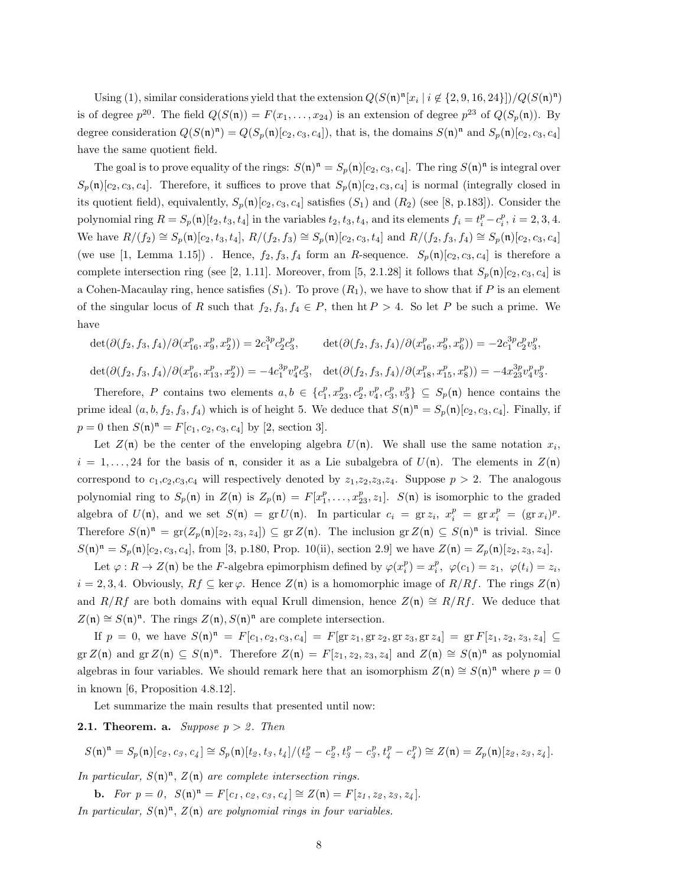Using (1), similar considerations yield that the extension  $Q(S(\mathfrak{n})^{\mathfrak{n}}[x_i | i \notin \{2,9,16,24\}])/Q(S(\mathfrak{n})^{\mathfrak{n}})$ is of degree  $p^{20}$ . The field  $Q(S(\mathfrak{n})) = F(x_1, \ldots, x_{24})$  is an extension of degree  $p^{23}$  of  $Q(S_p(\mathfrak{n}))$ . By degree consideration  $Q(S(\mathfrak{n})^{\mathfrak{n}}) = Q(S_p(\mathfrak{n})[c_2, c_3, c_4])$ , that is, the domains  $S(\mathfrak{n})^{\mathfrak{n}}$  and  $S_p(\mathfrak{n})[c_2, c_3, c_4]$ have the same quotient field.

The goal is to prove equality of the rings:  $S(\mathfrak{n})^{\mathfrak{n}} = S_p(\mathfrak{n})[c_2, c_3, c_4]$ . The ring  $S(\mathfrak{n})^{\mathfrak{n}}$  is integral over  $S_p(\mathfrak{n})[c_2, c_3, c_4]$ . Therefore, it suffices to prove that  $S_p(\mathfrak{n})[c_2, c_3, c_4]$  is normal (integrally closed in its quotient field), equivalently,  $S_p(\mathfrak{n})[c_2, c_3, c_4]$  satisfies  $(S_1)$  and  $(R_2)$  (see [8, p.183]). Consider the polynomial ring  $R = S_p(\mathfrak{n})[t_2, t_3, t_4]$  in the variables  $t_2, t_3, t_4$ , and its elements  $f_i = t_i^p - c_i^p$ ,  $i = 2, 3, 4$ . We have  $R/(f_2) \cong S_p(\mathfrak{n})[c_2, t_3, t_4]$ ,  $R/(f_2, f_3) \cong S_p(\mathfrak{n})[c_2, c_3, t_4]$  and  $R/(f_2, f_3, f_4) \cong S_p(\mathfrak{n})[c_2, c_3, c_4]$ (we use [1, Lemma 1.15]). Hence,  $f_2, f_3, f_4$  form an R-sequence.  $S_p(\mathfrak{n})[c_2, c_3, c_4]$  is therefore a complete intersection ring (see [2, 1.11]. Moreover, from [5, 2.1.28] it follows that  $S_p(\mathfrak{n})[c_2, c_3, c_4]$  is a Cohen-Macaulay ring, hence satisfies  $(S_1)$ . To prove  $(R_1)$ , we have to show that if P is an element of the singular locus of R such that  $f_2, f_3, f_4 \in P$ , then  $\text{ht } P > 4$ . So let P be such a prime. We have

det $(\partial(f_2, f_3, f_4)/\partial(x_{16}^p, x_9^p, x_2^p)) = 2c_1^{3p}c_2^p c_3^p$  $\det(\partial(f_2, f_3, f_4)/\partial(x_{16}^p, x_9^p, x_6^p)) = -2c_1^{3p}c_2^p v_3^p,$ 

 $\det(\partial(f_2, f_3, f_4)/\partial(x_{16}^p, x_{13}^p, x_2^p)) = -4c_1^{3p}v_4^p c_3^p, \quad \det(\partial(f_2, f_3, f_4)/\partial(x_{18}^p, x_{15}^p, x_8^p)) = -4x_{23}^{3p}v_4^p v_3^p.$ 

Therefore, P contains two elements  $a, b \in \{c_1^p, x_{23}^p, c_2^p, v_4^p, c_3^p, v_3^p\} \subseteq S_p(\mathfrak{n})$  hence contains the prime ideal  $(a, b, f_2, f_3, f_4)$  which is of height 5. We deduce that  $S(\mathfrak{n})^{\mathfrak{n}} = S_p(\mathfrak{n})[c_2, c_3, c_4]$ . Finally, if  $p = 0$  then  $S(\mathfrak{n})^{\mathfrak{n}} = F[c_1, c_2, c_3, c_4]$  by [2, section 3].

Let  $Z(\mathfrak{n})$  be the center of the enveloping algebra  $U(\mathfrak{n})$ . We shall use the same notation  $x_i$ ,  $i = 1, \ldots, 24$  for the basis of n, consider it as a Lie subalgebra of  $U(\mathfrak{n})$ . The elements in  $Z(\mathfrak{n})$ correspond to  $c_1,c_2,c_3,c_4$  will respectively denoted by  $z_1,z_2,z_3,z_4$ . Suppose  $p > 2$ . The analogous polynomial ring to  $S_p(\mathfrak{n})$  in  $Z(\mathfrak{n})$  is  $Z_p(\mathfrak{n}) = F[x_1^p, \ldots, x_{23}^p, z_1]$ .  $S(\mathfrak{n})$  is isomorphic to the graded algebra of  $U(\mathfrak{n})$ , and we set  $S(\mathfrak{n}) = \text{gr } U(\mathfrak{n})$ . In particular  $c_i = \text{gr } z_i$ ,  $x_i^p = \text{gr } x_i^p = (\text{gr } x_i)^p$ . Therefore  $S(\mathfrak{n})^{\mathfrak{n}} = \text{gr}(Z_p(\mathfrak{n})[z_2, z_3, z_4]) \subseteq \text{gr } Z(\mathfrak{n})$ . The inclusion  $\text{gr } Z(\mathfrak{n}) \subseteq S(\mathfrak{n})^{\mathfrak{n}}$  is trivial. Since  $S(\mathfrak{n})^{\mathfrak{n}} = S_p(\mathfrak{n})[c_2, c_3, c_4]$ , from [3, p.180, Prop. 10(ii), section 2.9] we have  $Z(\mathfrak{n}) = Z_p(\mathfrak{n})[z_2, z_3, z_4]$ .

Let  $\varphi: R \to Z(\mathfrak{n})$  be the F-algebra epimorphism defined by  $\varphi(x_i^p) = x_i^p$ ,  $\varphi(c_1) = z_1$ ,  $\varphi(t_i) = z_i$ ,  $i = 2, 3, 4$ . Obviously,  $Rf \subseteq \text{ker }\varphi$ . Hence  $Z(\mathfrak{n})$  is a homomorphic image of  $R/Rf$ . The rings  $Z(\mathfrak{n})$ and  $R/Rf$  are both domains with equal Krull dimension, hence  $Z(\mathfrak{n}) \cong R/Rf$ . We deduce that  $Z(\mathfrak{n}) \cong S(\mathfrak{n})^{\mathfrak{n}}$ . The rings  $Z(\mathfrak{n}), S(\mathfrak{n})^{\mathfrak{n}}$  are complete intersection.

If  $p = 0$ , we have  $S(\mathfrak{n})^{\mathfrak{n}} = F[c_1, c_2, c_3, c_4] = F[\text{gr } z_1, \text{gr } z_2, \text{gr } z_3, \text{gr } z_4] = \text{gr } F[z_1, z_2, z_3, z_4] \subseteq$ gr Z(n) and gr Z(n) ⊆  $S(\mathfrak{n})^{\mathfrak{n}}$ . Therefore  $Z(\mathfrak{n}) = F[z_1, z_2, z_3, z_4]$  and  $Z(\mathfrak{n}) \cong S(\mathfrak{n})^{\mathfrak{n}}$  as polynomial algebras in four variables. We should remark here that an isomorphism  $Z(\mathfrak{n}) \cong S(\mathfrak{n})^{\mathfrak{n}}$  where  $p = 0$ in known [6, Proposition 4.8.12].

Let summarize the main results that presented until now:

#### **2.1. Theorem. a.** Suppose  $p > 2$ . Then

$$
S(\mathfrak{n})^{\mathfrak{n}}=S_p(\mathfrak{n})[c_2,c_3,c_4]\cong S_p(\mathfrak{n})[t_2,t_3,t_4]/(t_2^p-c_2^p,t_3^p-c_3^p,t_4^p-c_4^p)\cong Z(\mathfrak{n})=Z_p(\mathfrak{n})[z_2,z_3,z_4].
$$

In particular,  $S(\mathfrak{n})^{\mathfrak{n}}, Z(\mathfrak{n})$  are complete intersection rings.

**b.** For  $p = 0$ ,  $S(\mathfrak{n})^{\mathfrak{n}} = F[c_1, c_2, c_3, c_4] \cong Z(\mathfrak{n}) = F[z_1, z_2, z_3, z_4]$ . In particular,  $S(\mathfrak{n})^{\mathfrak{n}}, Z(\mathfrak{n})$  are polynomial rings in four variables.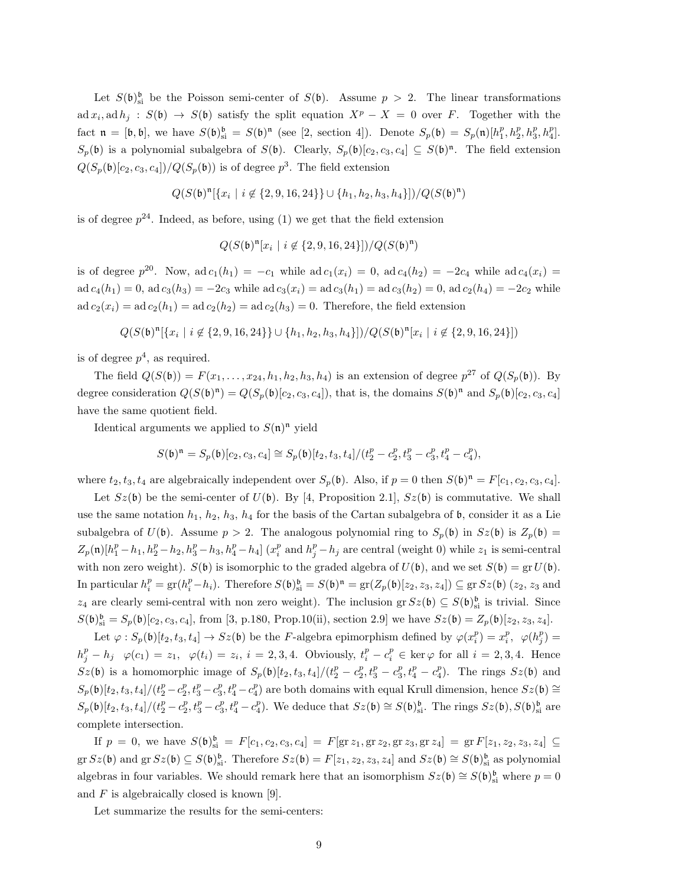Let  $S(\mathfrak{b})_{\text{si}}^{\mathfrak{b}}$  be the Poisson semi-center of  $S(\mathfrak{b})$ . Assume  $p > 2$ . The linear transformations  $ad x_i, ad h_j : S(\mathfrak{b}) \to S(\mathfrak{b})$  satisfy the split equation  $X^p - X = 0$  over F. Together with the fact  $\mathfrak{n} = [\mathfrak{b}, \mathfrak{b}],$  we have  $S(\mathfrak{b})_{\text{si}}^{\mathfrak{b}} = S(\mathfrak{b})^{\mathfrak{n}}$  (see [2, section 4]). Denote  $S_p(\mathfrak{b}) = S_p(\mathfrak{n})[h_1^p, h_2^p, h_3^p, h_4^p]$ .  $S_p(\mathfrak{b})$  is a polynomial subalgebra of  $S(\mathfrak{b})$ . Clearly,  $S_p(\mathfrak{b})[c_2, c_3, c_4] \subseteq S(\mathfrak{b})^n$ . The field extension  $Q(S_p(\mathfrak{b})[c_2, c_3, c_4])/Q(S_p(\mathfrak{b}))$  is of degree  $p^3$ . The field extension

$$
Q(S(\mathfrak{b})^{\mathfrak{n}}[\{x_i \mid i \not\in \{2,9,16,24\}\} \cup \{h_1,h_2,h_3,h_4\}])/Q(S(\mathfrak{b})^{\mathfrak{n}})
$$

is of degree  $p^{24}$ . Indeed, as before, using (1) we get that the field extension

$$
Q(S(\mathfrak{b})^{\mathfrak{n}}[x_i \mid i \not\in \{2,9,16,24\}])/Q(S(\mathfrak{b})^{\mathfrak{n}})
$$

is of degree  $p^{20}$ . Now,  $ad c_1(h_1) = -c_1$  while  $ad c_1(x_i) = 0$ ,  $ad c_4(h_2) = -2c_4$  while  $ad c_4(x_i) =$  $ad c_4(h_1) = 0$ ,  $ad c_3(h_3) = -2c_3$  while  $ad c_3(x_i) = ad c_3(h_1) = ad c_3(h_2) = 0$ ,  $ad c_2(h_4) = -2c_2$  while  $ad c_2(x_i) = ad c_2(h_1) = ad c_2(h_2) = ad c_2(h_3) = 0.$  Therefore, the field extension

$$
Q(S(\mathfrak{b})^{\mathfrak{n}}[\{x_i \mid i \not \in \{2,9,16,24\}\} \cup \{h_1,h_2,h_3,h_4\}])/Q(S(\mathfrak{b})^{\mathfrak{n}}[x_i \mid i \not \in \{2,9,16,24\}])
$$

is of degree  $p^4$ , as required.

The field  $Q(S(\mathfrak{b})) = F(x_1, \ldots, x_{24}, h_1, h_2, h_3, h_4)$  is an extension of degree  $p^{27}$  of  $Q(S_p(\mathfrak{b}))$ . By degree consideration  $Q(S(\mathfrak{b})^{\mathfrak{n}}) = Q(S_p(\mathfrak{b})[c_2, c_3, c_4])$ , that is, the domains  $S(\mathfrak{b})^{\mathfrak{n}}$  and  $S_p(\mathfrak{b})[c_2, c_3, c_4]$ have the same quotient field.

Identical arguments we applied to  $S(\mathfrak{n})^{\mathfrak{n}}$  yield

$$
S(\mathfrak{b})^{\mathfrak{n}}=S_p(\mathfrak{b})[c_2,c_3,c_4]\cong S_p(\mathfrak{b})[t_2,t_3,t_4]/(t_2^p-c_2^p,t_3^p-c_3^p,t_4^p-c_4^p),
$$

where  $t_2, t_3, t_4$  are algebraically independent over  $S_p(\mathfrak{b})$ . Also, if  $p = 0$  then  $S(\mathfrak{b})^{\mathfrak{n}} = F[c_1, c_2, c_3, c_4]$ .

Let  $Sz(\mathfrak{b})$  be the semi-center of  $U(\mathfrak{b})$ . By [4, Proposition 2.1],  $Sz(\mathfrak{b})$  is commutative. We shall use the same notation  $h_1$ ,  $h_2$ ,  $h_3$ ,  $h_4$  for the basis of the Cartan subalgebra of  $\mathfrak b$ , consider it as a Lie subalgebra of  $U(\mathfrak{b})$ . Assume  $p > 2$ . The analogous polynomial ring to  $S_p(\mathfrak{b})$  in  $Sz(\mathfrak{b})$  is  $Z_p(\mathfrak{b}) =$  $Z_p(\mathfrak{n})[h_1^p-h_1,h_2^p-h_2,h_3^p-h_3,h_4^p-h_4]$   $(x_i^p$  and  $h_j^p-h_j$  are central (weight 0) while  $z_1$  is semi-central with non zero weight).  $S(\mathfrak{b})$  is isomorphic to the graded algebra of  $U(\mathfrak{b})$ , and we set  $S(\mathfrak{b}) = \text{gr } U(\mathfrak{b})$ . In particular  $h_i^p = \text{gr}(h_i^p - h_i)$ . Therefore  $S(\mathfrak{b})_{\text{si}}^{\mathfrak{b}} = S(\mathfrak{b})^{\mathfrak{n}} = \text{gr}(Z_p(\mathfrak{b})[z_2, z_3, z_4]) \subseteq \text{gr} Sz(\mathfrak{b})$   $(z_2, z_3$  and z<sub>4</sub> are clearly semi-central with non zero weight). The inclusion gr  $Sz(\mathfrak{b}) \subseteq S(\mathfrak{b})_{si}^{\mathfrak{b}}$  is trivial. Since  $S(\mathfrak{b})_{\text{si}}^{\mathfrak{b}} = S_p(\mathfrak{b})[c_2, c_3, c_4]$ , from [3, p.180, Prop.10(ii), section 2.9] we have  $Sz(\mathfrak{b}) = Z_p(\mathfrak{b})[z_2, z_3, z_4]$ .

Let  $\varphi : S_p(\mathfrak{b})[t_2, t_3, t_4] \to Sz(\mathfrak{b})$  be the F-algebra epimorphism defined by  $\varphi(x_i^p) = x_i^p$ ,  $\varphi(h_j^p) =$  $h_j^p - h_j \varphi(c_1) = z_1, \varphi(t_i) = z_i, \ i = 2, 3, 4.$  Obviously,  $t_i^p - c_i^p \in \text{ker}\,\varphi$  for all  $i = 2, 3, 4.$  Hence  $Sz(\mathfrak{b})$  is a homomorphic image of  $S_p(\mathfrak{b})[t_2, t_3, t_4]/(t_2^p - c_2^p, t_3^p - c_3^p, t_4^p - c_4^p)$ . The rings  $Sz(\mathfrak{b})$  and  $S_p(\mathfrak{b})[t_2, t_3, t_4]/(t_2^p - c_2^p, t_3^p - c_3^p, t_4^p - c_4^p)$  are both domains with equal Krull dimension, hence  $Sz(\mathfrak{b}) \cong$  $S_p(\mathfrak{b})[t_2, t_3, t_4]/(t_2^p - c_2^p, t_3^p - c_3^p, t_4^p - c_4^p)$ . We deduce that  $Sz(\mathfrak{b}) \cong S(\mathfrak{b})_{\text{si}}^{\mathfrak{b}}$ . The rings  $Sz(\mathfrak{b}), S(\mathfrak{b})_{\text{si}}^{\mathfrak{b}}$  are complete intersection.

If  $p = 0$ , we have  $S(\mathfrak{b})_{\text{si}}^{\mathfrak{b}} = F[c_1, c_2, c_3, c_4] = F[\text{gr } z_1, \text{gr } z_2, \text{gr } z_3, \text{gr } z_4] = \text{gr } F[z_1, z_2, z_3, z_4] \subseteq$  $\operatorname{gr} Sz(\mathfrak{b})$  and  $\operatorname{gr} Sz(\mathfrak{b}) \subseteq S(\mathfrak{b})_{\text{si}}^{\mathfrak{b}}$ . Therefore  $Sz(\mathfrak{b}) = F[z_1, z_2, z_3, z_4]$  and  $Sz(\mathfrak{b}) \cong S(\mathfrak{b})_{\text{si}}^{\mathfrak{b}}$  as polynomial algebras in four variables. We should remark here that an isomorphism  $Sz(\mathfrak{b}) \cong S(\mathfrak{b})^{\mathfrak{b}}_{\rm si}$  where  $p = 0$ and  $F$  is algebraically closed is known [9].

Let summarize the results for the semi-centers: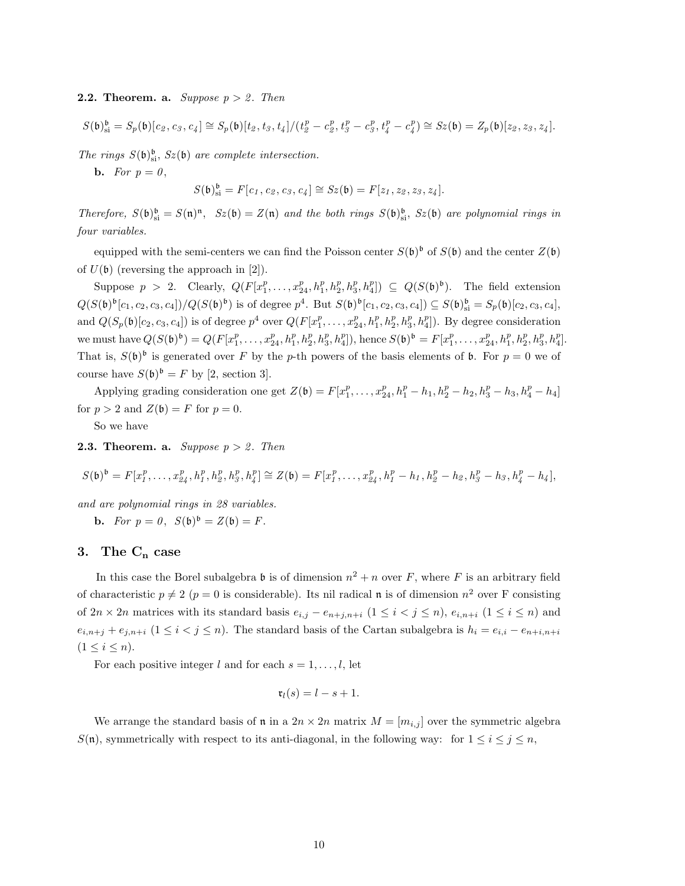### **2.2. Theorem. a.** Suppose  $p > 2$ . Then

$$
S(\mathfrak{b})_{\mathfrak{s}i}^{\mathfrak{b}} = S_p(\mathfrak{b})[c_2, c_3, c_4] \cong S_p(\mathfrak{b})[t_2, t_3, t_4]/(t_2^p - c_2^p, t_3^p - c_3^p, t_4^p - c_4^p) \cong S_z(\mathfrak{b}) = Z_p(\mathfrak{b})[z_2, z_3, z_4].
$$

The rings  $S(\mathfrak{b})_{\text{si}}^{\mathfrak{b}}, Sz(\mathfrak{b})$  are complete intersection.

**b.** For  $p = 0$ ,

$$
S(\mathfrak{b})^{\mathfrak{b}}_{\rm si}=F[c_1,c_2,c_3,c_4]\cong Sz(\mathfrak{b})=F[z_1,z_2,z_3,z_4].
$$

Therefore,  $S(\mathfrak{b})_{\text{si}}^{\mathfrak{b}} = S(\mathfrak{n})^{\mathfrak{n}}$ ,  $Sz(\mathfrak{b}) = Z(\mathfrak{n})$  and the both rings  $S(\mathfrak{b})_{\text{si}}^{\mathfrak{b}}$ ,  $Sz(\mathfrak{b})$  are polynomial rings in four variables.

equipped with the semi-centers we can find the Poisson center  $S(\mathfrak{b})^{\mathfrak{b}}$  of  $S(\mathfrak{b})$  and the center  $Z(\mathfrak{b})$ of  $U(\mathfrak{b})$  (reversing the approach in [2]).

Suppose  $p > 2$ . Clearly,  $Q(F[x_1^p, \ldots, x_{24}^p, h_1^p, h_2^p, h_3^p, h_4^p]) \subseteq Q(S(\mathfrak{b})^{\mathfrak{b}})$ . The field extension  $Q(S(\mathfrak{b})^{\mathfrak{b}}[c_1, c_2, c_3, c_4])/Q(S(\mathfrak{b})^{\mathfrak{b}})$  is of degree  $p^4$ . But  $S(\mathfrak{b})^{\mathfrak{b}}[c_1, c_2, c_3, c_4]) \subseteq S(\mathfrak{b})^{\mathfrak{b}}_{\rm si} = S_p(\mathfrak{b})[c_2, c_3, c_4]$ , and  $Q(S_p(\mathfrak{b})[c_2, c_3, c_4])$  is of degree  $p^4$  over  $Q(F[x_1^p, \ldots, x_{24}^p, h_1^p, h_2^p, h_3^p, h_4^p])$ . By degree consideration we must have  $Q(S(\mathfrak{b})^{\mathfrak{b}}) = Q(F[x_1^p, \ldots, x_{24}^p, h_1^p, h_2^p, h_3^p, h_4^p])$ , hence  $S(\mathfrak{b})^{\mathfrak{b}} = F[x_1^p, \ldots, x_{24}^p, h_1^p, h_2^p, h_3^p, h_4^p]$ . That is,  $S(\mathfrak{b})^{\mathfrak{b}}$  is generated over F by the p-th powers of the basis elements of **b**. For  $p = 0$  we of course have  $S(\mathfrak{b})^{\mathfrak{b}} = F$  by [2, section 3].

Applying grading consideration one get  $Z(\mathfrak{b}) = F[x_1^p, \ldots, x_{24}^p, h_1^p - h_1, h_2^p - h_2, h_3^p - h_3, h_4^p - h_4]$ for  $p > 2$  and  $Z(\mathfrak{b}) = F$  for  $p = 0$ .

So we have

**2.3. Theorem. a.** Suppose  $p > 2$ . Then

$$
S(\mathfrak{b})^{\mathfrak{b}} = F[x_1^p, \ldots, x_{24}^p, h_1^p, h_2^p, h_3^p, h_4^p] \cong Z(\mathfrak{b}) = F[x_1^p, \ldots, x_{24}^p, h_1^p - h_1, h_2^p - h_2, h_3^p - h_3, h_4^p - h_4],
$$

and are polynomial rings in 28 variables.

**b.** For  $p = 0$ ,  $S(\mathfrak{b})^{\mathfrak{b}} = Z(\mathfrak{b}) = F$ .

## 3. The  $C_n$  case

In this case the Borel subalgebra b is of dimension  $n^2 + n$  over F, where F is an arbitrary field of characteristic  $p \neq 2$  ( $p = 0$  is considerable). Its nil radical **n** is of dimension  $n^2$  over F consisting of  $2n \times 2n$  matrices with its standard basis  $e_{i,j} - e_{n+j,n+i}$   $(1 \leq i \leq j \leq n)$ ,  $e_{i,n+i}$   $(1 \leq i \leq n)$  and  $e_{i,n+j} + e_{j,n+i}$   $(1 \leq i < j \leq n)$ . The standard basis of the Cartan subalgebra is  $h_i = e_{i,i} - e_{n+i,n+i}$  $(1 \leq i \leq n).$ 

For each positive integer l and for each  $s = 1, \ldots, l$ , let

$$
\mathfrak{r}_l(s)=l-s+1.
$$

We arrange the standard basis of **n** in a  $2n \times 2n$  matrix  $M = [m_{i,j}]$  over the symmetric algebra  $S(\mathfrak{n})$ , symmetrically with respect to its anti-diagonal, in the following way: for  $1 \leq i \leq j \leq n$ ,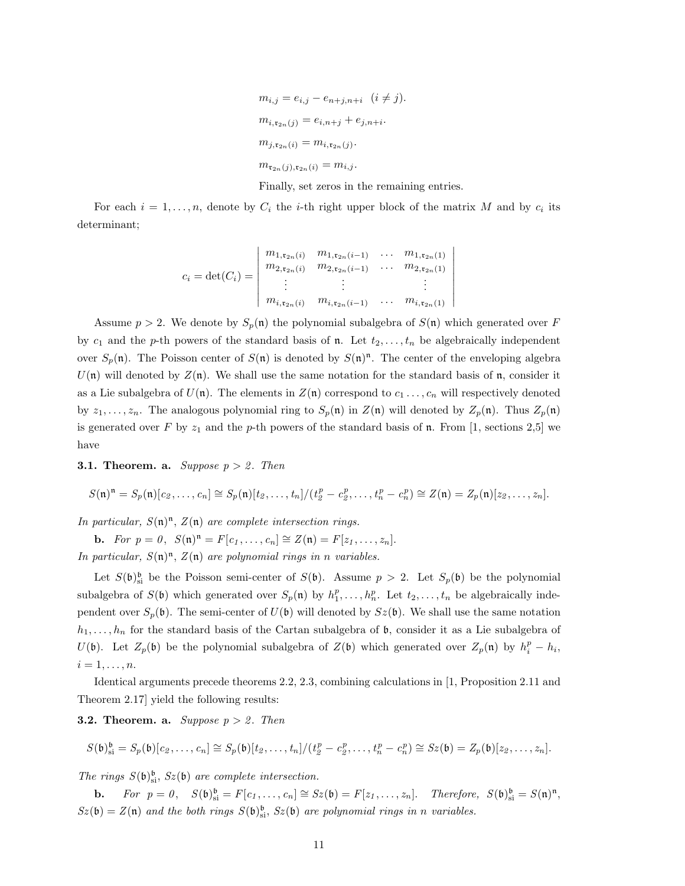$$
m_{i,j} = e_{i,j} - e_{n+j, n+i} \quad (i \neq j).
$$
  
\n
$$
m_{i, \mathfrak{r}_{2n}(j)} = e_{i, n+j} + e_{j, n+i}.
$$
  
\n
$$
m_{j, \mathfrak{r}_{2n}(i)} = m_{i, \mathfrak{r}_{2n}(j)}.
$$
  
\n
$$
m_{\mathfrak{r}_{2n}(j), \mathfrak{r}_{2n}(i)} = m_{i,j}.
$$

Finally, set zeros in the remaining entries.

For each  $i = 1, \ldots, n$ , denote by  $C_i$  the *i*-th right upper block of the matrix M and by  $c_i$  its determinant;

$$
c_i = \det(C_i) = \begin{vmatrix} m_{1,\mathfrak{r}_{2n}(i)} & m_{1,\mathfrak{r}_{2n}(i-1)} & \dots & m_{1,\mathfrak{r}_{2n}(1)} \\ m_{2,\mathfrak{r}_{2n}(i)} & m_{2,\mathfrak{r}_{2n}(i-1)} & \dots & m_{2,\mathfrak{r}_{2n}(1)} \\ \vdots & \vdots & & \vdots \\ m_{i,\mathfrak{r}_{2n}(i)} & m_{i,\mathfrak{r}_{2n}(i-1)} & \dots & m_{i,\mathfrak{r}_{2n}(1)} \end{vmatrix}
$$

Assume  $p > 2$ . We denote by  $S_p(\mathfrak{n})$  the polynomial subalgebra of  $S(\mathfrak{n})$  which generated over F by  $c_1$  and the p-th powers of the standard basis of n. Let  $t_2, \ldots, t_n$  be algebraically independent over  $S_p(\mathfrak{n})$ . The Poisson center of  $S(\mathfrak{n})$  is denoted by  $S(\mathfrak{n})^{\mathfrak{n}}$ . The center of the enveloping algebra  $U(n)$  will denoted by  $Z(n)$ . We shall use the same notation for the standard basis of n, consider it as a Lie subalgebra of  $U(\mathfrak{n})$ . The elements in  $Z(\mathfrak{n})$  correspond to  $c_1 \ldots, c_n$  will respectively denoted by  $z_1, \ldots, z_n$ . The analogous polynomial ring to  $S_p(\mathfrak{n})$  in  $Z(\mathfrak{n})$  will denoted by  $Z_p(\mathfrak{n})$ . Thus  $Z_p(\mathfrak{n})$ is generated over F by  $z_1$  and the p-th powers of the standard basis of n. From [1, sections 2,5] we have

**3.1. Theorem. a.** Suppose  $p > 2$ . Then

$$
S(\mathfrak{n})^{\mathfrak{n}} = S_p(\mathfrak{n})[c_2,\ldots,c_n] \cong S_p(\mathfrak{n})[t_2,\ldots,t_n]/(t_2^p - c_2^p,\ldots,t_n^p - c_n^p) \cong Z(\mathfrak{n}) = Z_p(\mathfrak{n})[z_2,\ldots,z_n].
$$

In particular,  $S(\mathfrak{n})^{\mathfrak{n}}, Z(\mathfrak{n})$  are complete intersection rings.

**b.** For  $p = 0$ ,  $S(\mathfrak{n})^{\mathfrak{n}} = F[c_1, ..., c_n] \cong Z(\mathfrak{n}) = F[z_1, ..., z_n].$ In particular,  $S(\mathfrak{n})^{\mathfrak{n}}, Z(\mathfrak{n})$  are polynomial rings in n variables.

Let  $S(\mathfrak{b})_{\text{si}}^{\mathfrak{b}}$  be the Poisson semi-center of  $S(\mathfrak{b})$ . Assume  $p > 2$ . Let  $S_p(\mathfrak{b})$  be the polynomial subalgebra of  $S(\mathfrak{b})$  which generated over  $S_p(\mathfrak{n})$  by  $h_1^p, \ldots, h_n^p$ . Let  $t_2, \ldots, t_n$  be algebraically independent over  $S_p(\mathfrak{b})$ . The semi-center of  $U(\mathfrak{b})$  will denoted by  $Sz(\mathfrak{b})$ . We shall use the same notation  $h_1, \ldots, h_n$  for the standard basis of the Cartan subalgebra of b, consider it as a Lie subalgebra of  $U(\mathfrak{b})$ . Let  $Z_p(\mathfrak{b})$  be the polynomial subalgebra of  $Z(\mathfrak{b})$  which generated over  $Z_p(\mathfrak{n})$  by  $h_i^p - h_i$ ,  $i=1,\ldots,n.$ 

Identical arguments precede theorems 2.2, 2.3, combining calculations in [1, Proposition 2.11 and Theorem 2.17] yield the following results:

**3.2. Theorem. a.** Suppose  $p > 2$ . Then

$$
S(\mathfrak{b})_{\mathfrak{si}}^{\mathfrak{b}}=S_p(\mathfrak{b})[c_2,\ldots,c_n]\cong S_p(\mathfrak{b})[t_2,\ldots,t_n]/(t_2^p-c_2^p,\ldots,t_n^p-c_n^p)\cong S_z(\mathfrak{b})=Z_p(\mathfrak{b})[z_2,\ldots,z_n].
$$

The rings  $S(\mathfrak{b})_{\text{si}}^{\mathfrak{b}}, Sz(\mathfrak{b})$  are complete intersection.

**b.** For  $p = 0$ ,  $S(\mathfrak{b})_{\text{si}}^{\mathfrak{b}} = F[c_1, \ldots, c_n] \cong Sz(\mathfrak{b}) = F[z_1, \ldots, z_n]$ . Therefore,  $S(\mathfrak{b})_{\text{si}}^{\mathfrak{b}} = S(\mathfrak{n})^{\mathfrak{n}}$ ,  $Sz(\mathfrak{b}) = Z(\mathfrak{n})$  and the both rings  $S(\mathfrak{b})_{\text{si}}^{\mathfrak{b}}, Sz(\mathfrak{b})$  are polynomial rings in n variables.